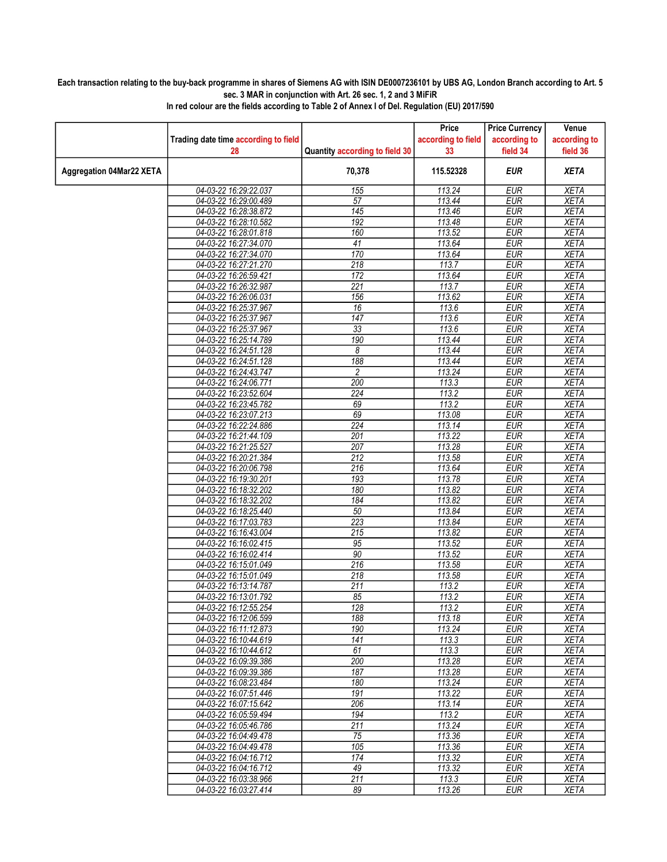## Each transaction relating to the buy-back programme in shares of Siemens AG with ISIN DE0007236101 by UBS AG, London Branch according to Art. 5 sec. 3 MAR in conjunction with Art. 26 sec. 1, 2 and 3 MiFiR

|                                 |                                                |                                | Price              | <b>Price Currency</b>    | Venue                      |
|---------------------------------|------------------------------------------------|--------------------------------|--------------------|--------------------------|----------------------------|
|                                 | Trading date time according to field           |                                | according to field | according to             | according to               |
|                                 | 28                                             | Quantity according to field 30 | 33                 | field 34                 | field 36                   |
| <b>Aggregation 04Mar22 XETA</b> |                                                | 70,378                         | 115.52328          | <b>EUR</b>               | <b>XETA</b>                |
|                                 | 04-03-22 16:29:22.037                          | 155                            | 113.24             | <b>EUR</b>               | <b>XETA</b>                |
|                                 | 04-03-22 16:29:00.489                          | $\overline{57}$                | 113.44             | <b>EUR</b>               | <b>XETA</b>                |
|                                 | 04-03-22 16:28:38.872                          | 145                            | 113.46             | <b>EUR</b>               | <b>XETA</b>                |
|                                 | 04-03-22 16:28:10.582                          | 192                            | 113.48             | <b>EUR</b>               | <b>XETA</b>                |
|                                 | 04-03-22 16:28:01.818                          | 160                            | 113.52             | <b>EUR</b>               | <b>XETA</b>                |
|                                 | 04-03-22 16:27:34.070                          | 41                             | 113.64             | <b>EUR</b>               | <b>XETA</b>                |
|                                 | 04-03-22 16:27:34.070                          | 170                            | 113.64             | <b>EUR</b>               | <b>XETA</b>                |
|                                 | 04-03-22 16:27:21.270                          | 218                            | 113.7              | <b>EUR</b>               | <b>XETA</b>                |
|                                 | 04-03-22 16:26:59.421                          | 172                            | 113.64             | EUR                      | <b>XETA</b>                |
|                                 | 04-03-22 16:26:32.987                          | $\overline{221}$               | 113.7              | <b>EUR</b>               | <b>XETA</b>                |
|                                 | 04-03-22 16:26:06.031                          | 156                            | 113.62             | <b>EUR</b>               | <b>XETA</b>                |
|                                 | 04-03-22 16:25:37.967                          | 16                             | 113.6              | <b>EUR</b>               | <b>XETA</b>                |
|                                 | 04-03-22 16:25:37.967                          | $\overline{147}$               | 113.6              | <b>EUR</b>               | <b>XETA</b>                |
|                                 | 04-03-22 16:25:37.967                          | 33                             | 113.6<br>113.44    | <b>EUR</b>               | <b>XETA</b>                |
|                                 | 04-03-22 16:25:14.789<br>04-03-22 16:24:51.128 | 190<br>8                       | 113.44             | <b>EUR</b><br><b>EUR</b> | <b>XETA</b><br><b>XETA</b> |
|                                 | 04-03-22 16:24:51.128                          | 188                            | 113.44             | <b>EUR</b>               | <b>XETA</b>                |
|                                 | 04-03-22 16:24:43.747                          | $\overline{c}$                 | 113.24             | <b>EUR</b>               | <b>XETA</b>                |
|                                 | 04-03-22 16:24:06.771                          | 200                            | 113.3              | <b>EUR</b>               | <b>XETA</b>                |
|                                 | 04-03-22 16:23:52.604                          | 224                            | 113.2              | <b>EUR</b>               | <b>XETA</b>                |
|                                 | 04-03-22 16:23:45.782                          | 69                             | 113.2              | <b>EUR</b>               | <b>XETA</b>                |
|                                 | 04-03-22 16:23:07.213                          | 69                             | 113.08             | <b>EUR</b>               | <b>XETA</b>                |
|                                 | 04-03-22 16:22:24.886                          | $\overline{224}$               | 113.14             | <b>EUR</b>               | <b>XETA</b>                |
|                                 | 04-03-22 16:21:44.109                          | 201                            | 113.22             | <b>EUR</b>               | <b>XETA</b>                |
|                                 | 04-03-22 16:21:25.527                          | 207                            | 113.28             | <b>EUR</b>               | <b>XETA</b>                |
|                                 | 04-03-22 16:20:21.384                          | 212                            | 113.58             | <b>EUR</b>               | <b>XETA</b>                |
|                                 | 04-03-22 16:20:06.798                          | 216                            | 113.64             | <b>EUR</b>               | <b>XETA</b>                |
|                                 | 04-03-22 16:19:30.201                          | 193                            | 113.78             | <b>EUR</b>               | <b>XETA</b>                |
|                                 | 04-03-22 16:18:32.202                          | 180                            | 113.82             | <b>EUR</b>               | <b>XETA</b>                |
|                                 | 04-03-22 16:18:32.202                          | 184                            | 113.82             | <b>EUR</b>               | <b>XETA</b>                |
|                                 | 04-03-22 16:18:25.440                          | 50                             | 113.84             | <b>EUR</b>               | <b>XETA</b>                |
|                                 | 04-03-22 16:17:03.783                          | $\overline{223}$               | 113.84             | <b>EUR</b>               | <b>XETA</b>                |
|                                 | 04-03-22 16:16:43.004                          | 215                            | 113.82             | <b>EUR</b>               | <b>XETA</b>                |
|                                 | 04-03-22 16:16:02.415                          | 95                             | 113.52             | EUR                      | <b>XETA</b>                |
|                                 | 04-03-22 16:16:02.414                          | 90                             | 113.52             | <b>EUR</b>               | <b>XETA</b>                |
|                                 | 04-03-22 16:15:01.049                          | 216                            | 113.58             | <b>EUR</b>               | <b>XETA</b>                |
|                                 | 04-03-22 16:15:01.049<br>04-03-22 16:13:14.787 | 218<br>211                     | 113.58<br>113.2    | <b>EUR</b><br><b>EUR</b> | <b>XETA</b><br><b>XETA</b> |
|                                 | 04-03-22 16:13:01.792                          | 85                             | 113.2              | <b>EUR</b>               | <b>XETA</b>                |
|                                 | 04-03-22 16:12:55.254                          | 128                            | 113.2              | <b>EUR</b>               | <b>XETA</b>                |
|                                 | 04-03-22 16:12:06.599                          | 188                            | 113.18             | <b>EUR</b>               | <b>XETA</b>                |
|                                 | 04-03-22 16:11:12.873                          | 190                            | 113.24             | <b>EUR</b>               | <b>XETA</b>                |
|                                 | 04-03-22 16:10:44.619                          | 141                            | 113.3              | <b>EUR</b>               | <b>XETA</b>                |
|                                 | 04-03-22 16:10:44.612                          | 61                             | 113.3              | <b>EUR</b>               | <b>XETA</b>                |
|                                 | 04-03-22 16:09:39.386                          | 200                            | 113.28             | <b>EUR</b>               | <b>XETA</b>                |
|                                 | 04-03-22 16:09:39.386                          | 187                            | 113.28             | <b>EUR</b>               | <b>XETA</b>                |
|                                 | 04-03-22 16:08:23.484                          | 180                            | 113.24             | <b>EUR</b>               | <b>XETA</b>                |
|                                 | 04-03-22 16:07:51.446                          | 191                            | 113.22             | <b>EUR</b>               | <b>XETA</b>                |
|                                 | 04-03-22 16:07:15.642                          | 206                            | 113.14             | <b>EUR</b>               | XETA                       |
|                                 | 04-03-22 16:05:59.494                          | 194                            | 113.2              | <b>EUR</b>               | <b>XETA</b>                |
|                                 | 04-03-22 16:05:46.786<br>04-03-22 16:04:49.478 | 211<br>75                      | 113.24             | <b>EUR</b><br><b>EUR</b> | <b>XETA</b><br><b>XETA</b> |
|                                 | 04-03-22 16:04:49.478                          | 105                            | 113.36<br>113.36   | <b>EUR</b>               | <b>XETA</b>                |
|                                 | 04-03-22 16:04:16.712                          | 174                            | 113.32             | <b>EUR</b>               | <b>XETA</b>                |
|                                 | 04-03-22 16:04:16.712                          | 49                             | 113.32             | <b>EUR</b>               | <b>XETA</b>                |
|                                 | 04-03-22 16:03:38.966                          | 211                            | 113.3              | <b>EUR</b>               | <b>XETA</b>                |
|                                 | 04-03-22 16:03:27.414                          | 89                             | 113.26             | <b>EUR</b>               | <b>XETA</b>                |
|                                 |                                                |                                |                    |                          |                            |

In red colour are the fields according to Table 2 of Annex I of Del. Regulation (EU) 2017/590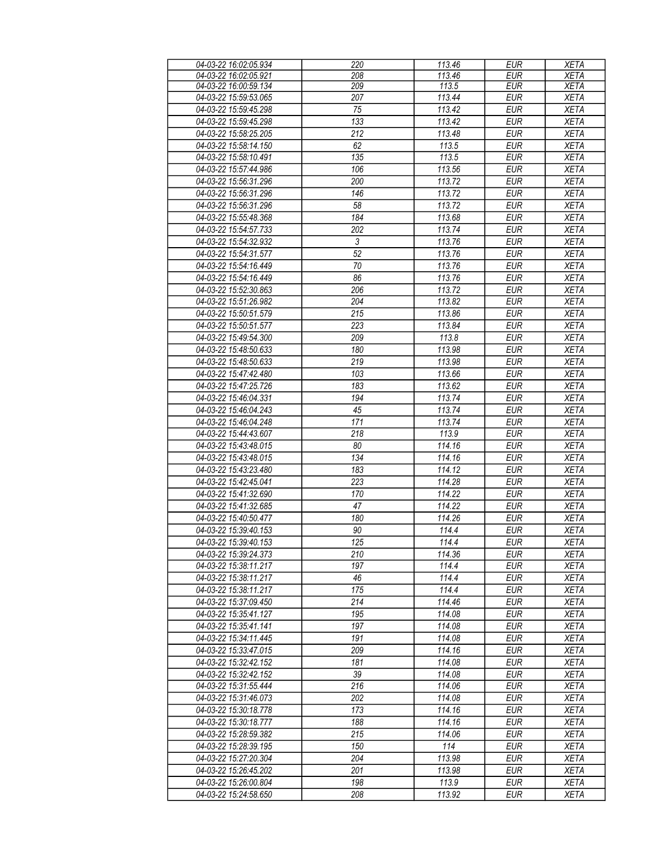| 04-03-22 16:02:05.934 | 220              | 113.46 | <b>EUR</b> | <b>XETA</b> |
|-----------------------|------------------|--------|------------|-------------|
| 04-03-22 16:02:05.921 | 208              | 113.46 | <b>EUR</b> | <b>XETA</b> |
| 04-03-22 16:00:59.134 | 209              | 113.5  | <b>EUR</b> | <b>XETA</b> |
| 04-03-22 15:59:53.065 | 207              | 113.44 | <b>EUR</b> | <b>XETA</b> |
| 04-03-22 15:59:45.298 | $\overline{75}$  | 113.42 | <b>EUR</b> | <b>XETA</b> |
| 04-03-22 15:59:45.298 | 133              | 113.42 | <b>EUR</b> | <b>XETA</b> |
| 04-03-22 15:58:25.205 | 212              | 113.48 | <b>EUR</b> | <b>XETA</b> |
|                       |                  |        |            |             |
| 04-03-22 15:58:14.150 | 62               | 113.5  | <b>EUR</b> | <b>XETA</b> |
| 04-03-22 15:58:10.491 | 135              | 113.5  | <b>EUR</b> | <b>XETA</b> |
| 04-03-22 15:57:44.986 | 106              | 113.56 | <b>EUR</b> | <b>XETA</b> |
| 04-03-22 15:56:31.296 | 200              | 113.72 | <b>EUR</b> | <b>XETA</b> |
| 04-03-22 15:56:31.296 | 146              | 113.72 | <b>EUR</b> | <b>XETA</b> |
| 04-03-22 15:56:31.296 | 58               | 113.72 | <b>EUR</b> | <b>XETA</b> |
| 04-03-22 15:55:48.368 | 184              | 113.68 | <b>EUR</b> | <b>XETA</b> |
| 04-03-22 15:54:57.733 | 202              | 113.74 | <b>EUR</b> | <b>XETA</b> |
| 04-03-22 15:54:32.932 | $\sqrt{3}$       | 113.76 | <b>EUR</b> | <b>XETA</b> |
| 04-03-22 15:54:31.577 | $\overline{52}$  | 113.76 | <b>EUR</b> | <b>XETA</b> |
| 04-03-22 15:54:16.449 | 70               | 113.76 | <b>EUR</b> | <b>XETA</b> |
| 04-03-22 15:54:16.449 | 86               | 113.76 | <b>EUR</b> | <b>XETA</b> |
| 04-03-22 15:52:30.863 | 206              | 113.72 | <b>EUR</b> | <b>XETA</b> |
| 04-03-22 15:51:26.982 | 204              | 113.82 | <b>EUR</b> | <b>XETA</b> |
| 04-03-22 15:50:51.579 | 215              | 113.86 | <b>EUR</b> | <b>XETA</b> |
|                       | 223              |        | EUR        |             |
| 04-03-22 15:50:51.577 |                  | 113.84 |            | <b>XETA</b> |
| 04-03-22 15:49:54.300 | 209              | 113.8  | <b>EUR</b> | <b>XETA</b> |
| 04-03-22 15:48:50.633 | 180              | 113.98 | <b>EUR</b> | <b>XETA</b> |
| 04-03-22 15:48:50.633 | 219              | 113.98 | <b>EUR</b> | <b>XETA</b> |
| 04-03-22 15:47:42.480 | 103              | 113.66 | <b>EUR</b> | <b>XETA</b> |
| 04-03-22 15:47:25.726 | 183              | 113.62 | <b>EUR</b> | <b>XETA</b> |
| 04-03-22 15:46:04.331 | 194              | 113.74 | <b>EUR</b> | <b>XETA</b> |
| 04-03-22 15:46:04.243 | 45               | 113.74 | <b>EUR</b> | <b>XETA</b> |
| 04-03-22 15:46:04.248 | 171              | 113.74 | <b>EUR</b> | <b>XETA</b> |
| 04-03-22 15:44:43.607 | 218              | 113.9  | <b>EUR</b> | <b>XETA</b> |
| 04-03-22 15:43:48.015 | 80               | 114.16 | <b>EUR</b> | <b>XETA</b> |
| 04-03-22 15:43:48.015 | 134              | 114.16 | <b>EUR</b> | <b>XETA</b> |
| 04-03-22 15:43:23.480 | 183              | 114.12 | <b>EUR</b> | <b>XETA</b> |
| 04-03-22 15:42:45.041 | 223              | 114.28 | <b>EUR</b> | <b>XETA</b> |
| 04-03-22 15:41:32.690 | 170              | 114.22 | <b>EUR</b> | <b>XETA</b> |
| 04-03-22 15:41:32.685 | 47               | 114.22 | <b>EUR</b> | <b>XETA</b> |
| 04-03-22 15:40:50.477 | 180              | 114.26 | <b>EUR</b> | <b>XETA</b> |
|                       |                  |        |            |             |
| 04-03-22 15:39:40.153 | 90               | 114.4  | <b>EUR</b> | <b>XETA</b> |
| 04-03-22 15:39:40.153 | $\overline{125}$ | 114.4  | EUR        | <b>XETA</b> |
| 04-03-22 15:39:24.373 | 210              | 114.36 | <b>EUR</b> | <b>XETA</b> |
| 04-03-22 15:38:11.217 | 197              | 114.4  | <b>EUR</b> | <b>XETA</b> |
| 04-03-22 15:38:11.217 | 46               | 114.4  | <b>EUR</b> | <b>XETA</b> |
| 04-03-22 15:38:11.217 | 175              | 114.4  | <b>EUR</b> | <b>XETA</b> |
| 04-03-22 15:37:09.450 | 214              | 114.46 | <b>EUR</b> | <b>XETA</b> |
| 04-03-22 15:35:41.127 | 195              | 114.08 | <b>EUR</b> | <b>XETA</b> |
| 04-03-22 15:35:41.141 | 197              | 114.08 | <b>EUR</b> | <b>XETA</b> |
| 04-03-22 15:34:11.445 | 191              | 114.08 | <b>EUR</b> | <b>XETA</b> |
| 04-03-22 15:33:47.015 | 209              | 114.16 | <b>EUR</b> | <b>XETA</b> |
| 04-03-22 15:32:42.152 | 181              | 114.08 | <b>EUR</b> | <b>XETA</b> |
| 04-03-22 15:32:42.152 | 39               | 114.08 | <b>EUR</b> | <b>XETA</b> |
| 04-03-22 15:31:55.444 | 216              | 114.06 | <b>EUR</b> | <b>XETA</b> |
| 04-03-22 15:31:46.073 | 202              | 114.08 | <b>EUR</b> | <b>XETA</b> |
| 04-03-22 15:30:18.778 | 173              | 114.16 | <b>EUR</b> | <b>XETA</b> |
| 04-03-22 15:30:18.777 | 188              | 114.16 | <b>EUR</b> | <b>XETA</b> |
| 04-03-22 15:28:59.382 | 215              | 114.06 | <b>EUR</b> | <b>XETA</b> |
| 04-03-22 15:28:39.195 | 150              | 114    | <b>EUR</b> | <b>XETA</b> |
| 04-03-22 15:27:20.304 | 204              | 113.98 | <b>EUR</b> | <b>XETA</b> |
| 04-03-22 15:26:45.202 | 201              |        | <b>EUR</b> | <b>XETA</b> |
|                       | 198              | 113.98 |            |             |
| 04-03-22 15:26:00.804 |                  | 113.9  | <b>EUR</b> | <b>XETA</b> |
| 04-03-22 15:24:58.650 | 208              | 113.92 | <b>EUR</b> | <b>XETA</b> |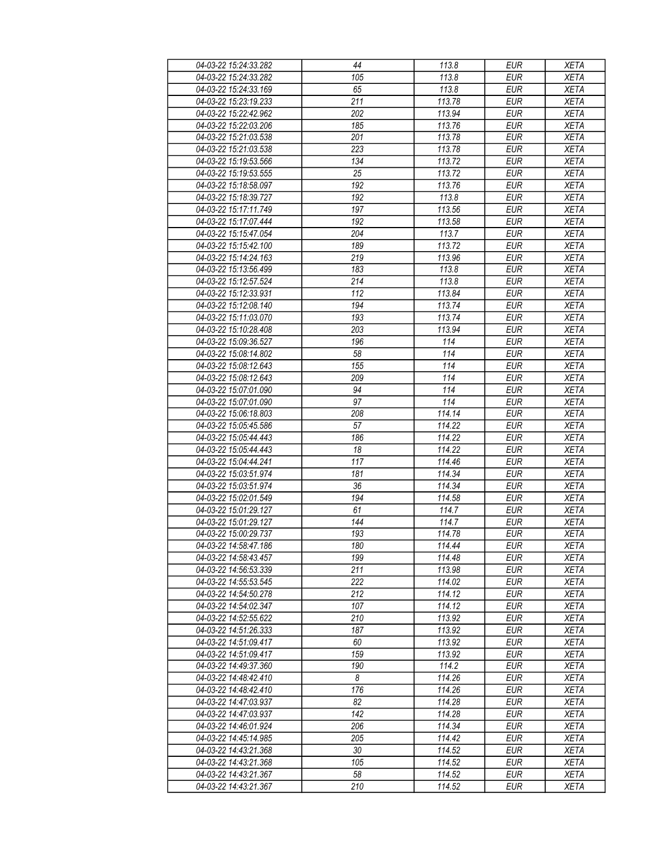| 04-03-22 15:24:33.282                          | 44              | 113.8  | <b>EUR</b>               | <b>XETA</b>                |
|------------------------------------------------|-----------------|--------|--------------------------|----------------------------|
| 04-03-22 15:24:33.282                          | 105             | 113.8  | <b>EUR</b>               | <b>XETA</b>                |
| 04-03-22 15:24:33.169                          | 65              | 113.8  | <b>EUR</b>               | <b>XETA</b>                |
| 04-03-22 15:23:19.233                          | 211             | 113.78 | <b>EUR</b>               | <b>XETA</b>                |
| 04-03-22 15:22:42.962                          | 202             | 113.94 | <b>EUR</b>               | <b>XETA</b>                |
| 04-03-22 15:22:03.206                          | 185             | 113.76 | <b>EUR</b>               | <b>XETA</b>                |
| 04-03-22 15:21:03.538                          | 201             | 113.78 | <b>EUR</b>               | <b>XETA</b>                |
| 04-03-22 15:21:03.538                          | 223             | 113.78 | <b>EUR</b>               | <b>XETA</b>                |
| 04-03-22 15:19:53.566                          | 134             | 113.72 | <b>EUR</b>               | <b>XETA</b>                |
| 04-03-22 15:19:53.555                          | $\overline{25}$ | 113.72 | <b>EUR</b>               | <b>XETA</b>                |
| 04-03-22 15:18:58.097                          | 192             | 113.76 | <b>EUR</b>               | <b>XETA</b>                |
| 04-03-22 15:18:39.727                          | 192             | 113.8  | <b>EUR</b>               | <b>XETA</b>                |
| 04-03-22 15:17:11.749                          | 197             | 113.56 | <b>EUR</b>               | <b>XETA</b>                |
| 04-03-22 15:17:07.444                          | 192             | 113.58 | <b>EUR</b>               | <b>XETA</b>                |
| 04-03-22 15:15:47.054                          | 204             | 113.7  | <b>EUR</b>               | <b>XETA</b>                |
| 04-03-22 15:15:42.100                          | 189             | 113.72 | <b>EUR</b>               | <b>XETA</b>                |
| 04-03-22 15:14:24.163                          | 219             | 113.96 | <b>EUR</b>               | <b>XETA</b>                |
| 04-03-22 15:13:56.499                          | 183             | 113.8  | <b>EUR</b>               | <b>XETA</b>                |
| 04-03-22 15:12:57.524                          | 214             | 113.8  | <b>EUR</b>               | <b>XETA</b>                |
| 04-03-22 15:12:33.931                          |                 |        |                          | <b>XETA</b>                |
|                                                | 112             | 113.84 | <b>EUR</b>               |                            |
| 04-03-22 15:12:08.140<br>04-03-22 15:11:03.070 | 194<br>193      | 113.74 | <b>EUR</b><br><b>EUR</b> | <b>XETA</b><br><b>XETA</b> |
|                                                |                 | 113.74 |                          |                            |
| 04-03-22 15:10:28.408                          | 203             | 113.94 | <b>EUR</b>               | <b>XETA</b>                |
| 04-03-22 15:09:36.527                          | 196             | 114    | <b>EUR</b>               | <b>XETA</b>                |
| 04-03-22 15:08:14.802                          | 58              | 114    | <b>EUR</b>               | <b>XETA</b>                |
| 04-03-22 15:08:12.643                          | 155             | 114    | <b>EUR</b>               | <b>XETA</b>                |
| 04-03-22 15:08:12.643                          | 209             | 114    | <b>EUR</b>               | <b>XETA</b>                |
| 04-03-22 15:07:01.090                          | 94              | 114    | <b>EUR</b>               | <b>XETA</b>                |
| 04-03-22 15:07:01.090                          | 97              | 114    | <b>EUR</b>               | <b>XETA</b>                |
| 04-03-22 15:06:18.803                          | 208             | 114.14 | <b>EUR</b>               | <b>XETA</b>                |
| 04-03-22 15:05:45.586                          | 57              | 114.22 | <b>EUR</b>               | <b>XETA</b>                |
| 04-03-22 15:05:44.443                          | 186             | 114.22 | <b>EUR</b>               | <b>XETA</b>                |
| 04-03-22 15:05:44.443                          | 18              | 114.22 | <b>EUR</b>               | <b>XETA</b>                |
| 04-03-22 15:04:44.241                          | 117             | 114.46 | <b>EUR</b>               | <b>XETA</b>                |
| 04-03-22 15:03:51.974                          | 181             | 114.34 | <b>EUR</b>               | <b>XETA</b>                |
| 04-03-22 15:03:51.974                          | 36              | 114.34 | <b>EUR</b>               | <b>XETA</b>                |
| 04-03-22 15:02:01.549                          | 194             | 114.58 | <b>EUR</b>               | <b>XETA</b>                |
| 04-03-22 15:01:29.127                          | 61              | 114.7  | <b>EUR</b>               | <b>XETA</b>                |
| 04-03-22 15:01:29.127                          | 144             | 114.7  | <b>EUR</b>               | <b>XETA</b>                |
| 04-03-22 15:00:29.737                          | 193             | 114.78 | <b>EUR</b>               | <b>XETA</b>                |
| 04-03-22 14:58:47.186                          | 180             | 114.44 | EUR                      | <b>XETA</b>                |
| 04-03-22 14:58:43.457                          | 199             | 114.48 | <b>EUR</b>               | <b>XETA</b>                |
| 04-03-22 14:56:53.339                          | 211             | 113.98 | <b>EUR</b>               | <b>XETA</b>                |
| 04-03-22 14:55:53.545                          | 222             | 114.02 | <b>EUR</b>               | <b>XETA</b>                |
| 04-03-22 14:54:50.278                          | 212             | 114.12 | <b>EUR</b>               | <b>XETA</b>                |
| 04-03-22 14:54:02.347                          | 107             | 114.12 | <b>EUR</b>               | <b>XETA</b>                |
| 04-03-22 14:52:55.622                          | 210             | 113.92 | <b>EUR</b>               | <b>XETA</b>                |
| 04-03-22 14:51:26.333                          | 187             | 113.92 | <b>EUR</b>               | <b>XETA</b>                |
| 04-03-22 14:51:09.417                          | 60              | 113.92 | <b>EUR</b>               | <b>XETA</b>                |
| 04-03-22 14:51:09.417                          | 159             | 113.92 | <b>EUR</b>               | <b>XETA</b>                |
| 04-03-22 14:49:37.360                          | 190             | 114.2  | <b>EUR</b>               | <b>XETA</b>                |
| 04-03-22 14:48:42.410                          | 8               | 114.26 | <b>EUR</b>               | <b>XETA</b>                |
| 04-03-22 14:48:42.410                          | 176             | 114.26 | <b>EUR</b>               | <b>XETA</b>                |
| 04-03-22 14:47:03.937                          | 82              | 114.28 | <b>EUR</b>               | <b>XETA</b>                |
| 04-03-22 14:47:03.937                          | 142             | 114.28 | <b>EUR</b>               | <b>XETA</b>                |
| 04-03-22 14:46:01.924                          | 206             | 114.34 | <b>EUR</b>               | XETA                       |
| 04-03-22 14:45:14.985                          | 205             | 114.42 | <b>EUR</b>               | <b>XETA</b>                |
| 04-03-22 14:43:21.368                          | 30              | 114.52 | <b>EUR</b>               | <b>XETA</b>                |
| 04-03-22 14:43:21.368                          | 105             | 114.52 | <b>EUR</b>               | <b>XETA</b>                |
| 04-03-22 14:43:21.367                          |                 |        |                          |                            |
|                                                | 58              | 114.52 | <b>EUR</b>               | <b>XETA</b>                |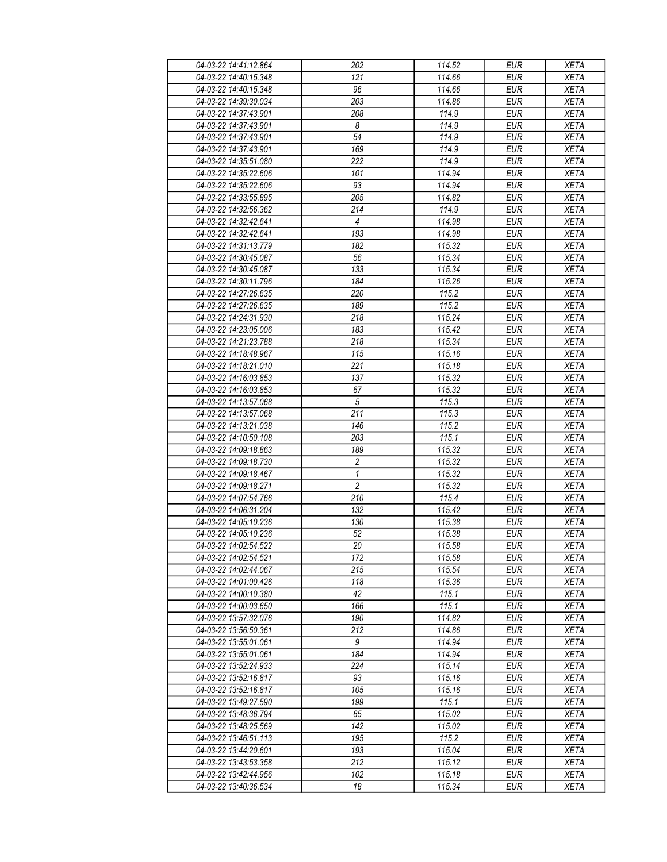| 04-03-22 14:41:12.864 | 202              | 114.52 | <b>EUR</b> | <b>XETA</b> |
|-----------------------|------------------|--------|------------|-------------|
| 04-03-22 14:40:15.348 | 121              | 114.66 | <b>EUR</b> | <b>XETA</b> |
| 04-03-22 14:40:15.348 | 96               | 114.66 | <b>EUR</b> | <b>XETA</b> |
| 04-03-22 14:39:30.034 | 203              | 114.86 | <b>EUR</b> | <b>XETA</b> |
| 04-03-22 14:37:43.901 | 208              | 114.9  | <b>EUR</b> | <b>XETA</b> |
| 04-03-22 14:37:43.901 | 8                | 114.9  | <b>EUR</b> | <b>XETA</b> |
| 04-03-22 14:37:43.901 | 54               | 114.9  | <b>EUR</b> | <b>XETA</b> |
| 04-03-22 14:37:43.901 | 169              | 114.9  | <b>EUR</b> | <b>XETA</b> |
| 04-03-22 14:35:51.080 | 222              | 114.9  | <b>EUR</b> | <b>XETA</b> |
| 04-03-22 14:35:22.606 | 101              | 114.94 | <b>EUR</b> | <b>XETA</b> |
| 04-03-22 14:35:22.606 | 93               | 114.94 | <b>EUR</b> | <b>XETA</b> |
| 04-03-22 14:33:55.895 | 205              | 114.82 | <b>EUR</b> | <b>XETA</b> |
| 04-03-22 14:32:56.362 | 214              | 114.9  | <b>EUR</b> | <b>XETA</b> |
| 04-03-22 14:32:42.641 | 4                | 114.98 | <b>EUR</b> | <b>XETA</b> |
| 04-03-22 14:32:42.641 | 193              | 114.98 | <b>EUR</b> | <b>XETA</b> |
| 04-03-22 14:31:13.779 | 182              | 115.32 | <b>EUR</b> | <b>XETA</b> |
| 04-03-22 14:30:45.087 | 56               | 115.34 | EUR        | <b>XETA</b> |
|                       |                  |        |            |             |
| 04-03-22 14:30:45.087 | 133              | 115.34 | <b>EUR</b> | <b>XETA</b> |
| 04-03-22 14:30:11.796 | 184              | 115.26 | <b>EUR</b> | <b>XETA</b> |
| 04-03-22 14:27:26.635 | 220              | 115.2  | <b>EUR</b> | <b>XETA</b> |
| 04-03-22 14:27:26.635 | 189              | 115.2  | <b>EUR</b> | <b>XETA</b> |
| 04-03-22 14:24:31.930 | 218              | 115.24 | <b>EUR</b> | <b>XETA</b> |
| 04-03-22 14:23:05.006 | 183              | 115.42 | <b>EUR</b> | <b>XETA</b> |
| 04-03-22 14:21:23.788 | 218              | 115.34 | <b>EUR</b> | <b>XETA</b> |
| 04-03-22 14:18:48.967 | 115              | 115.16 | <b>EUR</b> | <b>XETA</b> |
| 04-03-22 14:18:21.010 | $\overline{221}$ | 115.18 | <b>EUR</b> | <b>XETA</b> |
| 04-03-22 14:16:03.853 | 137              | 115.32 | <b>EUR</b> | <b>XETA</b> |
| 04-03-22 14:16:03.853 | 67               | 115.32 | <b>EUR</b> | <b>XETA</b> |
| 04-03-22 14:13:57.068 | $\sqrt{5}$       | 115.3  | <b>EUR</b> | <b>XETA</b> |
| 04-03-22 14:13:57.068 | 211              | 115.3  | <b>EUR</b> | <b>XETA</b> |
| 04-03-22 14:13:21.038 | 146              | 115.2  | <b>EUR</b> | <b>XETA</b> |
| 04-03-22 14:10:50.108 | 203              | 115.1  | <b>EUR</b> | <b>XETA</b> |
| 04-03-22 14:09:18.863 | 189              | 115.32 | <b>EUR</b> | <b>XETA</b> |
| 04-03-22 14:09:18.730 | $\overline{c}$   | 115.32 | <b>EUR</b> | <b>XETA</b> |
| 04-03-22 14:09:18.467 | $\mathbf{1}$     | 115.32 | <b>EUR</b> | <b>XETA</b> |
| 04-03-22 14:09:18.271 | $\overline{c}$   | 115.32 | <b>EUR</b> | <b>XETA</b> |
| 04-03-22 14:07:54.766 | 210              | 115.4  | <b>EUR</b> | <b>XETA</b> |
| 04-03-22 14:06:31.204 | 132              | 115.42 | <b>EUR</b> | <b>XETA</b> |
| 04-03-22 14:05:10.236 | 130              | 115.38 | <b>EUR</b> | <b>XETA</b> |
| 04-03-22 14:05:10.236 | $\overline{52}$  | 115.38 | <b>EUR</b> | <b>XETA</b> |
| 04-03-22 14:02:54.522 | 20               | 115.58 | <b>EUR</b> | <b>XETA</b> |
| 04-03-22 14:02:54.521 | 172              | 115.58 | <b>EUR</b> | <b>XETA</b> |
| 04-03-22 14:02:44.067 | 215              | 115.54 | <b>EUR</b> | <b>XETA</b> |
| 04-03-22 14:01:00.426 | 118              | 115.36 | <b>EUR</b> | <b>XETA</b> |
| 04-03-22 14:00:10.380 | 42               | 115.1  | <b>EUR</b> | <b>XETA</b> |
| 04-03-22 14:00:03.650 | 166              | 115.1  | <b>EUR</b> | <b>XETA</b> |
| 04-03-22 13:57:32.076 | 190              | 114.82 | <b>EUR</b> | <b>XETA</b> |
| 04-03-22 13:56:50.361 | 212              | 114.86 | <b>EUR</b> | <b>XETA</b> |
| 04-03-22 13:55:01.061 | 9                | 114.94 | <b>EUR</b> | <b>XETA</b> |
| 04-03-22 13:55:01.061 | 184              | 114.94 | <b>EUR</b> | <b>XETA</b> |
| 04-03-22 13:52:24.933 | 224              | 115.14 | <b>EUR</b> | <b>XETA</b> |
| 04-03-22 13:52:16.817 | 93               | 115.16 | <b>EUR</b> | <b>XETA</b> |
| 04-03-22 13:52:16.817 | 105              | 115.16 | <b>EUR</b> | <b>XETA</b> |
| 04-03-22 13:49:27.590 | 199              | 115.1  | <b>EUR</b> | <b>XETA</b> |
| 04-03-22 13:48:36.794 | 65               | 115.02 | <b>EUR</b> | <b>XETA</b> |
| 04-03-22 13:48:25.569 | 142              | 115.02 | <b>EUR</b> | <b>XETA</b> |
| 04-03-22 13:46:51.113 | 195              | 115.2  | <b>EUR</b> | <b>XETA</b> |
| 04-03-22 13:44:20.601 | 193              | 115.04 | <b>EUR</b> | <b>XETA</b> |
| 04-03-22 13:43:53.358 | 212              | 115.12 | <b>EUR</b> | <b>XETA</b> |
| 04-03-22 13:42:44.956 | 102              | 115.18 | <b>EUR</b> | <b>XETA</b> |
| 04-03-22 13:40:36.534 | 18               | 115.34 | <b>EUR</b> | <b>XETA</b> |
|                       |                  |        |            |             |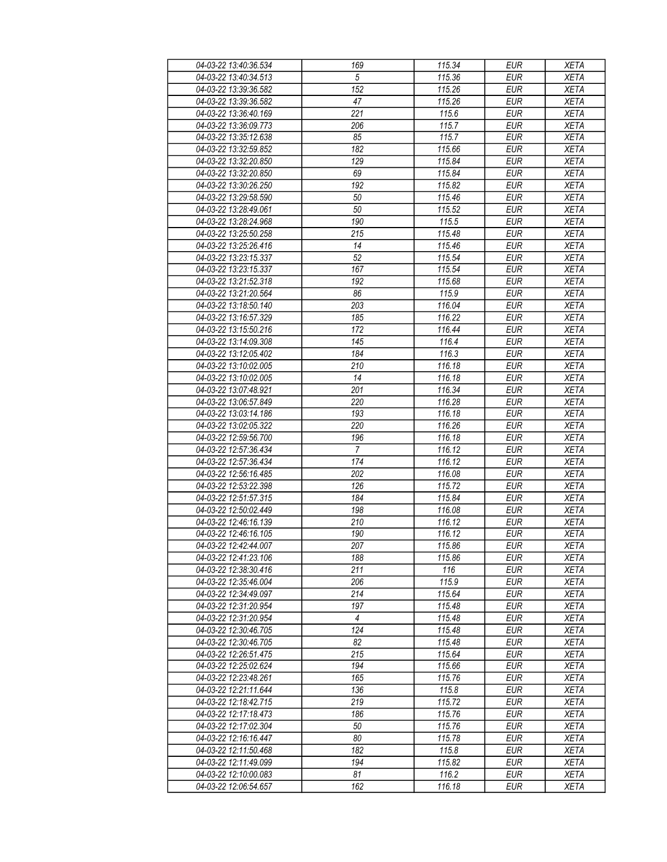| 04-03-22 13:40:36.534 | 169              | 115.34 | <b>EUR</b>        | <b>XETA</b> |
|-----------------------|------------------|--------|-------------------|-------------|
| 04-03-22 13:40:34.513 | 5                | 115.36 | <b>EUR</b>        | <b>XETA</b> |
| 04-03-22 13:39:36.582 | $\overline{152}$ | 115.26 | <b>EUR</b>        | <b>XETA</b> |
| 04-03-22 13:39:36.582 | 47               | 115.26 | <b>EUR</b>        | <b>XETA</b> |
| 04-03-22 13:36:40.169 | 221              | 115.6  | <b>EUR</b>        | <b>XETA</b> |
| 04-03-22 13:36:09.773 | 206              | 115.7  | <b>EUR</b>        | <b>XETA</b> |
| 04-03-22 13:35:12.638 | 85               | 115.7  | <b>EUR</b>        | <b>XETA</b> |
| 04-03-22 13:32:59.852 | 182              | 115.66 | <b>EUR</b>        | <b>XETA</b> |
| 04-03-22 13:32:20.850 | 129              | 115.84 | <b>EUR</b>        | <b>XETA</b> |
| 04-03-22 13:32:20.850 | 69               | 115.84 | <b>EUR</b>        | <b>XETA</b> |
| 04-03-22 13:30:26.250 | 192              | 115.82 | <b>EUR</b>        | <b>XETA</b> |
| 04-03-22 13:29:58.590 | 50               | 115.46 | <b>EUR</b>        | <b>XETA</b> |
| 04-03-22 13:28:49.061 | 50               | 115.52 | <b>EUR</b>        | <b>XETA</b> |
| 04-03-22 13:28:24.968 | 190              | 115.5  | <b>EUR</b>        | <b>XETA</b> |
| 04-03-22 13:25:50.258 | $\overline{215}$ | 115.48 | <b>EUR</b>        | <b>XETA</b> |
|                       |                  |        |                   |             |
| 04-03-22 13:25:26.416 | 14               | 115.46 | <b>EUR</b><br>EUR | <b>XETA</b> |
| 04-03-22 13:23:15.337 | 52               | 115.54 |                   | <b>XETA</b> |
| 04-03-22 13:23:15.337 | 167              | 115.54 | <b>EUR</b>        | <b>XETA</b> |
| 04-03-22 13:21:52.318 | 192              | 115.68 | <b>EUR</b>        | <b>XETA</b> |
| 04-03-22 13:21:20.564 | 86               | 115.9  | <b>EUR</b>        | <b>XETA</b> |
| 04-03-22 13:18:50.140 | 203              | 116.04 | <b>EUR</b>        | <b>XETA</b> |
| 04-03-22 13:16:57.329 | 185              | 116.22 | <b>EUR</b>        | <b>XETA</b> |
| 04-03-22 13:15:50.216 | 172              | 116.44 | <b>EUR</b>        | <b>XETA</b> |
| 04-03-22 13:14:09.308 | 145              | 116.4  | <b>EUR</b>        | <b>XETA</b> |
| 04-03-22 13:12:05.402 | 184              | 116.3  | <b>EUR</b>        | <b>XETA</b> |
| 04-03-22 13:10:02.005 | 210              | 116.18 | <b>EUR</b>        | <b>XETA</b> |
| 04-03-22 13:10:02.005 | 14               | 116.18 | <b>EUR</b>        | <b>XETA</b> |
| 04-03-22 13:07:48.921 | 201              | 116.34 | <b>EUR</b>        | <b>XETA</b> |
| 04-03-22 13:06:57.849 | 220              | 116.28 | <b>EUR</b>        | <b>XETA</b> |
| 04-03-22 13:03:14.186 | 193              | 116.18 | <b>EUR</b>        | <b>XETA</b> |
| 04-03-22 13:02:05.322 | 220              | 116.26 | <b>EUR</b>        | <b>XETA</b> |
| 04-03-22 12:59:56.700 | 196              | 116.18 | <b>EUR</b>        | <b>XETA</b> |
| 04-03-22 12:57:36.434 | $\overline{7}$   | 116.12 | <b>EUR</b>        | <b>XETA</b> |
| 04-03-22 12:57:36.434 | 174              | 116.12 | <b>EUR</b>        | <b>XETA</b> |
| 04-03-22 12:56:16.485 | 202              | 116.08 | <b>EUR</b>        | <b>XETA</b> |
| 04-03-22 12:53:22.398 | 126              | 115.72 | <b>EUR</b>        | <b>XETA</b> |
| 04-03-22 12:51:57.315 | 184              | 115.84 | <b>EUR</b>        | <b>XETA</b> |
| 04-03-22 12:50:02.449 | 198              | 116.08 | <b>EUR</b>        | <b>XETA</b> |
| 04-03-22 12:46:16.139 | 210              | 116.12 | <b>EUR</b>        | <b>XETA</b> |
| 04-03-22 12:46:16.105 | 190              | 116.12 | <b>EUR</b>        | <b>XETA</b> |
| 04-03-22 12:42:44.007 | 207              | 115.86 | <b>EUR</b>        | <b>XETA</b> |
| 04-03-22 12:41:23.106 | 188              | 115.86 | <b>EUR</b>        | <b>XETA</b> |
| 04-03-22 12:38:30.416 | 211              | 116    | <b>EUR</b>        | <b>XETA</b> |
| 04-03-22 12:35:46.004 | 206              | 115.9  | <b>EUR</b>        | <b>XETA</b> |
| 04-03-22 12:34:49.097 | 214              | 115.64 | <b>EUR</b>        | <b>XETA</b> |
| 04-03-22 12:31:20.954 | 197              | 115.48 | <b>EUR</b>        | <b>XETA</b> |
| 04-03-22 12:31:20.954 | $\overline{4}$   | 115.48 | <b>EUR</b>        | <b>XETA</b> |
| 04-03-22 12:30:46.705 | 124              | 115.48 | <b>EUR</b>        | <b>XETA</b> |
| 04-03-22 12:30:46.705 | 82               | 115.48 | <b>EUR</b>        | <b>XETA</b> |
| 04-03-22 12:26:51.475 | 215              | 115.64 | <b>EUR</b>        | <b>XETA</b> |
| 04-03-22 12:25:02.624 | 194              | 115.66 | <b>EUR</b>        | <b>XETA</b> |
| 04-03-22 12:23:48.261 | 165              | 115.76 | <b>EUR</b>        | <b>XETA</b> |
| 04-03-22 12:21:11.644 | 136              | 115.8  | <b>EUR</b>        | <b>XETA</b> |
| 04-03-22 12:18:42.715 | 219              | 115.72 | <b>EUR</b>        | <b>XETA</b> |
| 04-03-22 12:17:18.473 | 186              | 115.76 | <b>EUR</b>        | <b>XETA</b> |
| 04-03-22 12:17:02.304 | 50               | 115.76 | <b>EUR</b>        | <b>XETA</b> |
| 04-03-22 12:16:16.447 | 80               | 115.78 | <b>EUR</b>        | <b>XETA</b> |
| 04-03-22 12:11:50.468 | 182              | 115.8  | <b>EUR</b>        | <b>XETA</b> |
| 04-03-22 12:11:49.099 | 194              | 115.82 | <b>EUR</b>        | <b>XETA</b> |
| 04-03-22 12:10:00.083 | 81               | 116.2  | <b>EUR</b>        | <b>XETA</b> |
| 04-03-22 12:06:54.657 | 162              | 116.18 | <b>EUR</b>        | <b>XETA</b> |
|                       |                  |        |                   |             |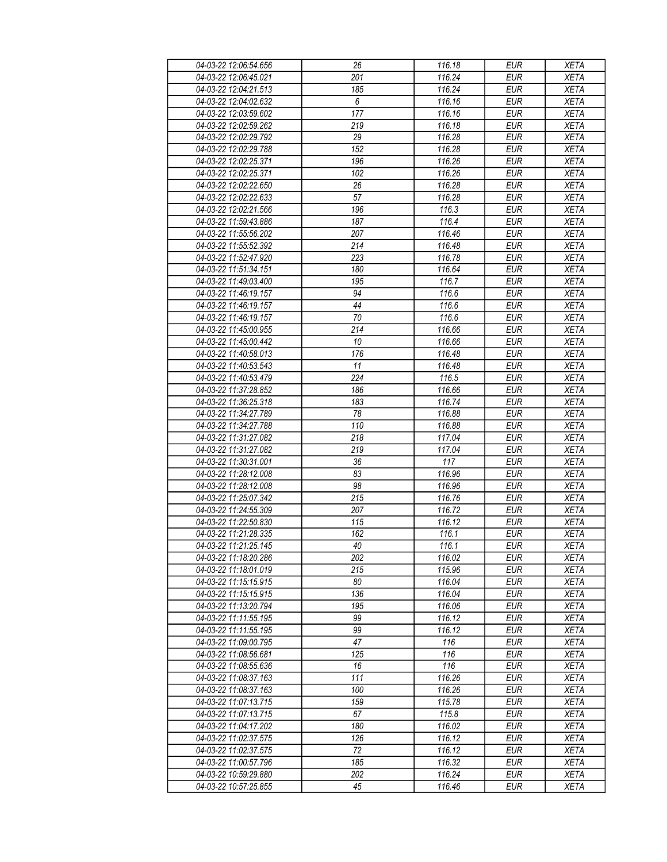| 04-03-22 12:06:54.656 | 26     | 116.18 | <b>EUR</b> | <b>XETA</b> |
|-----------------------|--------|--------|------------|-------------|
| 04-03-22 12:06:45.021 | 201    | 116.24 | <b>EUR</b> | <b>XETA</b> |
| 04-03-22 12:04:21.513 | 185    | 116.24 | <b>EUR</b> | <b>XETA</b> |
| 04-03-22 12:04:02.632 | 6      | 116.16 | <b>EUR</b> | <b>XETA</b> |
| 04-03-22 12:03:59.602 | 177    | 116.16 | <b>EUR</b> | <b>XETA</b> |
| 04-03-22 12:02:59.262 | 219    | 116.18 | <b>EUR</b> | <b>XETA</b> |
| 04-03-22 12:02:29.792 | 29     | 116.28 | <b>EUR</b> | <b>XETA</b> |
| 04-03-22 12:02:29.788 | 152    | 116.28 | <b>EUR</b> | <b>XETA</b> |
| 04-03-22 12:02:25.371 | 196    | 116.26 | <b>EUR</b> | <b>XETA</b> |
| 04-03-22 12:02:25.371 | 102    | 116.26 | <b>EUR</b> | <b>XETA</b> |
| 04-03-22 12:02:22.650 | 26     | 116.28 | <b>EUR</b> | <b>XETA</b> |
| 04-03-22 12:02:22.633 | 57     | 116.28 | <b>EUR</b> | <b>XETA</b> |
| 04-03-22 12:02:21.566 | 196    | 116.3  | <b>EUR</b> | <b>XETA</b> |
| 04-03-22 11:59:43.886 | 187    | 116.4  | <b>EUR</b> | <b>XETA</b> |
| 04-03-22 11:55:56.202 | 207    | 116.46 | <b>EUR</b> | <b>XETA</b> |
| 04-03-22 11:55:52.392 | 214    | 116.48 | <b>EUR</b> | <b>XETA</b> |
| 04-03-22 11:52:47.920 | 223    | 116.78 | <b>EUR</b> | <b>XETA</b> |
| 04-03-22 11:51:34.151 | 180    | 116.64 |            |             |
|                       |        |        | <b>EUR</b> | <b>XETA</b> |
| 04-03-22 11:49:03.400 | 195    | 116.7  | <b>EUR</b> | <b>XETA</b> |
| 04-03-22 11:46:19.157 | 94     | 116.6  | <b>EUR</b> | <b>XETA</b> |
| 04-03-22 11:46:19.157 | 44     | 116.6  | <b>EUR</b> | <b>XETA</b> |
| 04-03-22 11:46:19.157 | 70     | 116.6  | <b>EUR</b> | <b>XETA</b> |
| 04-03-22 11:45:00.955 | 214    | 116.66 | <b>EUR</b> | <b>XETA</b> |
| 04-03-22 11:45:00.442 | 10     | 116.66 | <b>EUR</b> | <b>XETA</b> |
| 04-03-22 11:40:58.013 | 176    | 116.48 | <b>EUR</b> | <b>XETA</b> |
| 04-03-22 11:40:53.543 | 11     | 116.48 | <b>EUR</b> | <b>XETA</b> |
| 04-03-22 11:40:53.479 | 224    | 116.5  | <b>EUR</b> | <b>XETA</b> |
| 04-03-22 11:37:28.852 | 186    | 116.66 | <b>EUR</b> | <b>XETA</b> |
| 04-03-22 11:36:25.318 | 183    | 116.74 | <b>EUR</b> | <b>XETA</b> |
| 04-03-22 11:34:27.789 | 78     | 116.88 | <b>EUR</b> | <b>XETA</b> |
| 04-03-22 11:34:27.788 | 110    | 116.88 | <b>EUR</b> | <b>XETA</b> |
| 04-03-22 11:31:27.082 | 218    | 117.04 | <b>EUR</b> | <b>XETA</b> |
| 04-03-22 11:31:27.082 | 219    | 117.04 | <b>EUR</b> | <b>XETA</b> |
| 04-03-22 11:30:31.001 | 36     | 117    | <b>EUR</b> | <b>XETA</b> |
| 04-03-22 11:28:12.008 | 83     | 116.96 | <b>EUR</b> | <b>XETA</b> |
| 04-03-22 11:28:12.008 | 98     | 116.96 | <b>EUR</b> | <b>XETA</b> |
| 04-03-22 11:25:07.342 | 215    | 116.76 | <b>EUR</b> | <b>XETA</b> |
| 04-03-22 11:24:55.309 | 207    | 116.72 | <b>EUR</b> | <b>XETA</b> |
| 04-03-22 11:22:50.830 | 115    | 116.12 | <b>EUR</b> | <b>XETA</b> |
| 04-03-22 11:21:28.335 | 162    | 116.1  | <b>EUR</b> | <b>XETA</b> |
| 04-03-22 11:21:25.145 | $40\,$ | 116.1  | <b>EUR</b> | <b>XETA</b> |
| 04-03-22 11:18:20.286 | 202    | 116.02 | <b>EUR</b> | <b>XETA</b> |
| 04-03-22 11:18:01.019 | 215    | 115.96 | <b>EUR</b> | <b>XETA</b> |
| 04-03-22 11:15:15.915 | 80     | 116.04 | <b>EUR</b> | <b>XETA</b> |
| 04-03-22 11:15:15.915 | 136    | 116.04 | <b>EUR</b> | <b>XETA</b> |
| 04-03-22 11:13:20.794 | 195    | 116.06 | <b>EUR</b> | <b>XETA</b> |
| 04-03-22 11:11:55.195 | 99     | 116.12 | <b>EUR</b> | <b>XETA</b> |
| 04-03-22 11:11:55.195 | 99     | 116.12 | <b>EUR</b> | <b>XETA</b> |
| 04-03-22 11:09:00.795 | 47     | 116    | <b>EUR</b> | <b>XETA</b> |
| 04-03-22 11:08:56.681 | 125    | 116    | <b>EUR</b> | <b>XETA</b> |
| 04-03-22 11:08:55.636 | 16     | 116    | <b>EUR</b> | <b>XETA</b> |
| 04-03-22 11:08:37.163 | 111    | 116.26 | <b>EUR</b> | <b>XETA</b> |
| 04-03-22 11:08:37.163 | 100    | 116.26 | <b>EUR</b> | <b>XETA</b> |
| 04-03-22 11:07:13.715 | 159    | 115.78 | <b>EUR</b> | <b>XETA</b> |
| 04-03-22 11:07:13.715 | 67     | 115.8  | <b>EUR</b> | <b>XETA</b> |
| 04-03-22 11:04:17.202 | 180    | 116.02 | <b>EUR</b> | <b>XETA</b> |
| 04-03-22 11:02:37.575 | 126    | 116.12 | <b>EUR</b> | <b>XETA</b> |
| 04-03-22 11:02:37.575 | 72     | 116.12 | <b>EUR</b> | <b>XETA</b> |
| 04-03-22 11:00:57.796 | 185    | 116.32 | <b>EUR</b> | <b>XETA</b> |
| 04-03-22 10:59:29.880 | 202    | 116.24 | <b>EUR</b> | <b>XETA</b> |
| 04-03-22 10:57:25.855 | 45     | 116.46 | <b>EUR</b> | <b>XETA</b> |
|                       |        |        |            |             |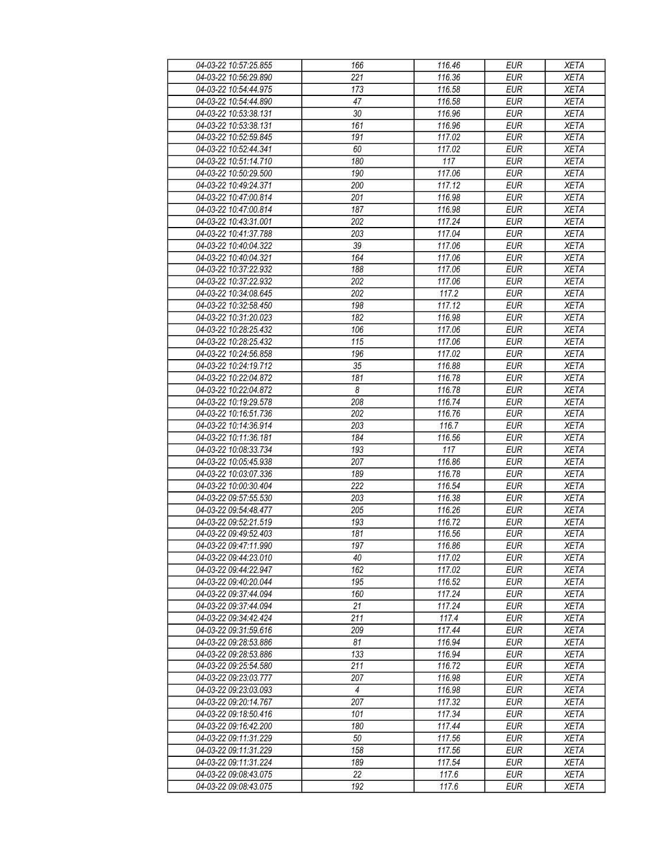| 04-03-22 10:57:25.855 | 166              | 116.46        | <b>EUR</b>               | <b>XETA</b> |
|-----------------------|------------------|---------------|--------------------------|-------------|
| 04-03-22 10:56:29.890 | 221              | 116.36        | <b>EUR</b>               | <b>XETA</b> |
| 04-03-22 10:54:44.975 | 173              | 116.58        | <b>EUR</b>               | <b>XETA</b> |
| 04-03-22 10:54:44.890 | 47               | 116.58        | <b>EUR</b>               | <b>XETA</b> |
| 04-03-22 10:53:38.131 | 30               | 116.96        | <b>EUR</b>               | <b>XETA</b> |
| 04-03-22 10:53:38.131 | 161              | 116.96        | <b>EUR</b>               | <b>XETA</b> |
| 04-03-22 10:52:59.845 | 191              | 117.02        | <b>EUR</b>               | <b>XETA</b> |
| 04-03-22 10:52:44.341 | 60               | 117.02        | <b>EUR</b>               | <b>XETA</b> |
| 04-03-22 10:51:14.710 | 180              | 117           | <b>EUR</b>               | <b>XETA</b> |
| 04-03-22 10:50:29.500 | 190              | 117.06        | <b>EUR</b>               | <b>XETA</b> |
| 04-03-22 10:49:24.371 | 200              | 117.12        | <b>EUR</b>               | <b>XETA</b> |
| 04-03-22 10:47:00.814 | 201              | 116.98        | <b>EUR</b>               | <b>XETA</b> |
| 04-03-22 10:47:00.814 | 187              | 116.98        | <b>EUR</b>               | <b>XETA</b> |
| 04-03-22 10:43:31.001 | 202              | 117.24        | <b>EUR</b>               | <b>XETA</b> |
| 04-03-22 10:41:37.788 | 203              | 117.04        | <b>EUR</b>               | <b>XETA</b> |
| 04-03-22 10:40:04.322 | 39               | 117.06        | <b>EUR</b>               | <b>XETA</b> |
| 04-03-22 10:40:04.321 | 164              | 117.06        | <b>EUR</b>               | <b>XETA</b> |
| 04-03-22 10:37:22.932 | 188              | 117.06        | <b>EUR</b>               | <b>XETA</b> |
| 04-03-22 10:37:22.932 | 202              | 117.06        | <b>EUR</b>               | <b>XETA</b> |
| 04-03-22 10:34:08.645 | 202              | 117.2         | <b>EUR</b>               | <b>XETA</b> |
| 04-03-22 10:32:58.450 | 198              | 117.12        | <b>EUR</b>               | <b>XETA</b> |
| 04-03-22 10:31:20.023 | 182              | 116.98        | <b>EUR</b>               | <b>XETA</b> |
| 04-03-22 10:28:25.432 | 106              | 117.06        | <b>EUR</b>               | <b>XETA</b> |
| 04-03-22 10:28:25.432 | 115              | 117.06        | <b>EUR</b>               | <b>XETA</b> |
| 04-03-22 10:24:56.858 | 196              | 117.02        | <b>EUR</b>               | <b>XETA</b> |
| 04-03-22 10:24:19.712 | $\overline{35}$  | 116.88        | <b>EUR</b>               | <b>XETA</b> |
| 04-03-22 10:22:04.872 | 181              | 116.78        | <b>EUR</b>               | <b>XETA</b> |
| 04-03-22 10:22:04.872 | 8                | 116.78        | <b>EUR</b>               | <b>XETA</b> |
|                       |                  | 116.74        | <b>EUR</b>               |             |
| 04-03-22 10:19:29.578 | 208<br>202       | 116.76        |                          | <b>XETA</b> |
| 04-03-22 10:16:51.736 |                  |               | <b>EUR</b>               | <b>XETA</b> |
| 04-03-22 10:14:36.914 | 203<br>184       | 116.7         | <b>EUR</b><br><b>EUR</b> | <b>XETA</b> |
| 04-03-22 10:11:36.181 | 193              | 116.56<br>117 |                          | <b>XETA</b> |
| 04-03-22 10:08:33.734 |                  |               | <b>EUR</b>               | <b>XETA</b> |
| 04-03-22 10:05:45.938 | 207              | 116.86        | <b>EUR</b>               | <b>XETA</b> |
| 04-03-22 10:03:07.336 | 189              | 116.78        | <b>EUR</b>               | <b>XETA</b> |
| 04-03-22 10:00:30.404 | 222              | 116.54        | <b>EUR</b>               | <b>XETA</b> |
| 04-03-22 09:57:55.530 | 203              | 116.38        | <b>EUR</b>               | <b>XETA</b> |
| 04-03-22 09:54:48.477 | 205              | 116.26        | <b>EUR</b>               | <b>XETA</b> |
| 04-03-22 09:52:21.519 | 193              | 116.72        | <b>EUR</b>               | <b>XETA</b> |
| 04-03-22 09:49:52.403 | $\overline{181}$ | 116.56        | <b>EUR</b>               | <b>XETA</b> |
| 04-03-22 09:47:11.990 | 197              | 116.86        | EUR                      | <b>XETA</b> |
| 04-03-22 09:44:23.010 | 40               | 117.02        | <b>EUR</b>               | <b>XETA</b> |
| 04-03-22 09:44:22.947 | 162              | 117.02        | <b>EUR</b>               | <b>XETA</b> |
| 04-03-22 09:40:20.044 | 195              | 116.52        | <b>EUR</b>               | <b>XETA</b> |
| 04-03-22 09:37:44.094 | 160              | 117.24        | <b>EUR</b>               | <b>XETA</b> |
| 04-03-22 09:37:44.094 | 21               | 117.24        | <b>EUR</b>               | <b>XETA</b> |
| 04-03-22 09:34:42.424 | 211              | 117.4         | <b>EUR</b>               | <b>XETA</b> |
| 04-03-22 09:31:59.616 | 209              | 117.44        | <b>EUR</b>               | <b>XETA</b> |
| 04-03-22 09:28:53.886 | 81               | 116.94        | <b>EUR</b>               | <b>XETA</b> |
| 04-03-22 09:28:53.886 | 133              | 116.94        | <b>EUR</b>               | <b>XETA</b> |
| 04-03-22 09:25:54.580 | 211              | 116.72        | <b>EUR</b>               | <b>XETA</b> |
| 04-03-22 09:23:03.777 | 207              | 116.98        | <b>EUR</b>               | <b>XETA</b> |
| 04-03-22 09:23:03.093 | 4                | 116.98        | <b>EUR</b>               | <b>XETA</b> |
| 04-03-22 09:20:14.767 | 207              | 117.32        | <b>EUR</b>               | <b>XETA</b> |
| 04-03-22 09:18:50.416 | 101              | 117.34        | <b>EUR</b>               | <b>XETA</b> |
| 04-03-22 09:16:42.200 | 180              | 117.44        | <b>EUR</b>               | <b>XETA</b> |
| 04-03-22 09:11:31.229 | 50               | 117.56        | <b>EUR</b>               | <b>XETA</b> |
| 04-03-22 09:11:31.229 | 158              | 117.56        | <b>EUR</b>               | <b>XETA</b> |
| 04-03-22 09:11:31.224 | 189              | 117.54        | <b>EUR</b>               | <b>XETA</b> |
| 04-03-22 09:08:43.075 | 22               | 117.6         | <b>EUR</b>               | <b>XETA</b> |
| 04-03-22 09:08:43.075 | 192              | 117.6         | <b>EUR</b>               | <b>XETA</b> |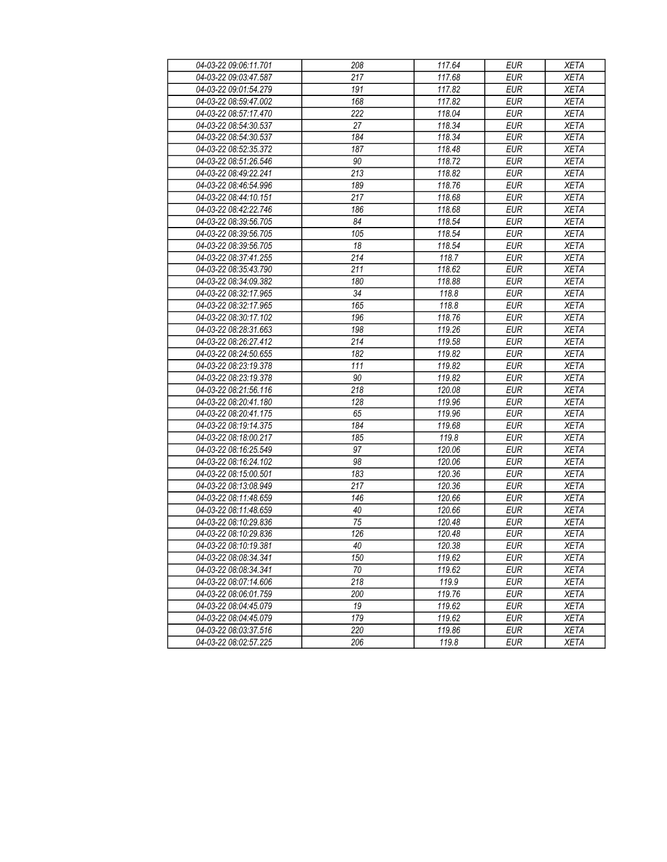| 04-03-22 09:06:11.701 | 208              | 117.64 | <b>EUR</b> | <b>XETA</b> |
|-----------------------|------------------|--------|------------|-------------|
| 04-03-22 09:03:47.587 | 217              | 117.68 | <b>EUR</b> | <b>XETA</b> |
| 04-03-22 09:01:54.279 | 191              | 117.82 | <b>EUR</b> | <b>XETA</b> |
| 04-03-22 08:59:47.002 | 168              | 117.82 | <b>EUR</b> | <b>XETA</b> |
| 04-03-22 08:57:17.470 | 222              | 118.04 | <b>EUR</b> | <b>XETA</b> |
| 04-03-22 08:54:30.537 | 27               | 118.34 | <b>EUR</b> | <b>XETA</b> |
| 04-03-22 08:54:30.537 | 184              | 118.34 | <b>EUR</b> | <b>XETA</b> |
| 04-03-22 08:52:35.372 | 187              | 118.48 | <b>EUR</b> | <b>XETA</b> |
| 04-03-22 08:51:26.546 | 90               | 118.72 | <b>EUR</b> | <b>XETA</b> |
| 04-03-22 08:49:22.241 | 213              | 118.82 | <b>EUR</b> | <b>XETA</b> |
| 04-03-22 08:46:54.996 | 189              | 118.76 | <b>EUR</b> | <b>XETA</b> |
| 04-03-22 08:44:10.151 | 217              | 118.68 | <b>EUR</b> | <b>XETA</b> |
| 04-03-22 08:42:22.746 | 186              | 118.68 | <b>EUR</b> | <b>XETA</b> |
| 04-03-22 08:39:56.705 | 84               | 118.54 | <b>EUR</b> | <b>XETA</b> |
| 04-03-22 08:39:56.705 | 105              | 118.54 | <b>EUR</b> | <b>XETA</b> |
| 04-03-22 08:39:56.705 | 18               | 118.54 | <b>EUR</b> | <b>XETA</b> |
| 04-03-22 08:37:41.255 | $\overline{214}$ | 118.7  | <b>EUR</b> | <b>XETA</b> |
| 04-03-22 08:35:43.790 | 211              | 118.62 | <b>EUR</b> | <b>XETA</b> |
| 04-03-22 08:34:09.382 | 180              | 118.88 | <b>EUR</b> | <b>XETA</b> |
| 04-03-22 08:32:17.965 | 34               | 118.8  | <b>EUR</b> | <b>XETA</b> |
| 04-03-22 08:32:17.965 | 165              | 118.8  | <b>EUR</b> | <b>XETA</b> |
| 04-03-22 08:30:17.102 | 196              | 118.76 | <b>EUR</b> | <b>XETA</b> |
| 04-03-22 08:28:31.663 | 198              | 119.26 | <b>EUR</b> | <b>XETA</b> |
| 04-03-22 08:26:27.412 | 214              | 119.58 | <b>EUR</b> | <b>XETA</b> |
| 04-03-22 08:24:50.655 | 182              | 119.82 | <b>EUR</b> | <b>XETA</b> |
| 04-03-22 08:23:19.378 | 111              | 119.82 | <b>EUR</b> | <b>XETA</b> |
| 04-03-22 08:23:19.378 | 90               | 119.82 | <b>EUR</b> | <b>XETA</b> |
| 04-03-22 08:21:56.116 | 218              | 120.08 | <b>EUR</b> | <b>XETA</b> |
| 04-03-22 08:20:41.180 | 128              | 119.96 | <b>EUR</b> | <b>XETA</b> |
| 04-03-22 08:20:41.175 | 65               | 119.96 | <b>EUR</b> | <b>XETA</b> |
| 04-03-22 08:19:14.375 | 184              | 119.68 | <b>EUR</b> | <b>XETA</b> |
| 04-03-22 08:18:00.217 | 185              | 119.8  | <b>EUR</b> | <b>XETA</b> |
| 04-03-22 08:16:25.549 | 97               | 120.06 | <b>EUR</b> | <b>XETA</b> |
| 04-03-22 08:16:24.102 | 98               | 120.06 | <b>EUR</b> | <b>XETA</b> |
| 04-03-22 08:15:00.501 | 183              | 120.36 | <b>EUR</b> | <b>XETA</b> |
| 04-03-22 08:13:08.949 | 217              | 120.36 | <b>EUR</b> | <b>XETA</b> |
| 04-03-22 08:11:48.659 | 146              | 120.66 | <b>EUR</b> | <b>XETA</b> |
| 04-03-22 08:11:48.659 | 40               | 120.66 | <b>EUR</b> | <b>XETA</b> |
| 04-03-22 08:10:29.836 | 75               | 120.48 | <b>EUR</b> | <b>XETA</b> |
| 04-03-22 08:10:29.836 | 126              | 120.48 | <b>EUR</b> | <b>XETA</b> |
| 04-03-22 08:10:19.381 | $40\,$           | 120.38 | <b>EUR</b> | <b>XETA</b> |
| 04-03-22 08:08:34.341 | 150              | 119.62 | <b>EUR</b> | <b>XETA</b> |
| 04-03-22 08:08:34.341 | 70               | 119.62 | <b>EUR</b> | <b>XETA</b> |
| 04-03-22 08:07:14.606 | 218              | 119.9  | <b>EUR</b> | <b>XETA</b> |
| 04-03-22 08:06:01.759 | 200              | 119.76 | <b>EUR</b> | <b>XETA</b> |
| 04-03-22 08:04:45.079 | 19               | 119.62 | <b>EUR</b> | <b>XETA</b> |
| 04-03-22 08:04:45.079 | 179              | 119.62 | <b>EUR</b> | <b>XETA</b> |
| 04-03-22 08:03:37.516 | 220              | 119.86 | <b>EUR</b> | <b>XETA</b> |
| 04-03-22 08:02:57.225 | 206              | 119.8  | <b>EUR</b> | <b>XETA</b> |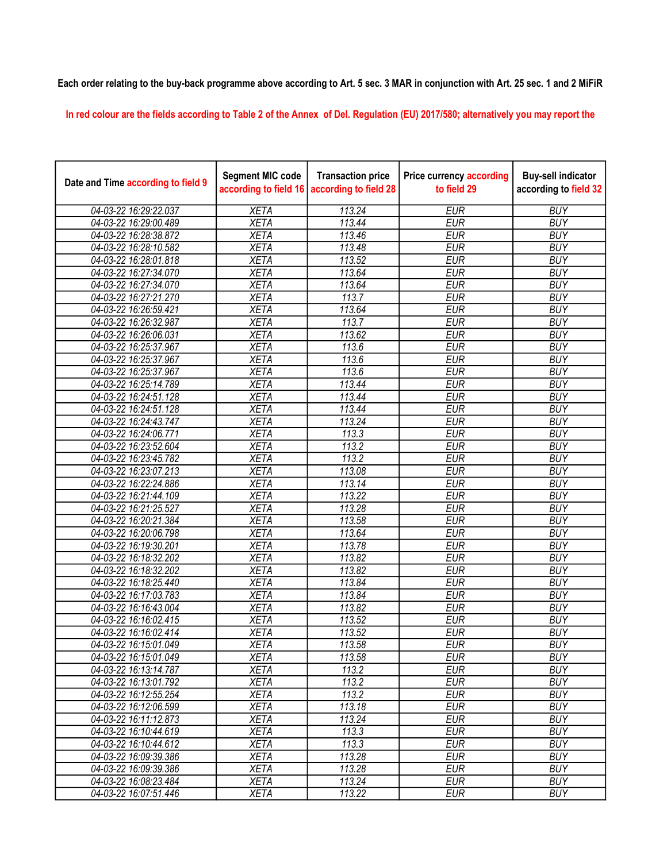## Each order relating to the buy-back programme above according to Art. 5 sec. 3 MAR in conjunction with Art. 25 sec. 1 and 2 MiFiR

In red colour are the fields according to Table 2 of the Annex of Del. Regulation (EU) 2017/580; alternatively you may report the

| Date and Time according to field 9 | <b>Segment MIC code</b><br>according to field 16 | <b>Transaction price</b><br>according to field 28 | <b>Price currency according</b><br>to field 29 | <b>Buy-sell indicator</b><br>according to field 32 |
|------------------------------------|--------------------------------------------------|---------------------------------------------------|------------------------------------------------|----------------------------------------------------|
| 04-03-22 16:29:22.037              | <b>XETA</b>                                      | 113.24                                            | <b>EUR</b>                                     | <b>BUY</b>                                         |
| 04-03-22 16:29:00.489              | <b>XETA</b>                                      | 113.44                                            | <b>EUR</b>                                     | <b>BUY</b>                                         |
| 04-03-22 16:28:38.872              | <b>XETA</b>                                      | 113.46                                            | <b>EUR</b>                                     | <b>BUY</b>                                         |
| 04-03-22 16:28:10.582              | <b>XETA</b>                                      | 113.48                                            | <b>EUR</b>                                     | <b>BUY</b>                                         |
| 04-03-22 16:28:01.818              | <b>XETA</b>                                      | 113.52                                            | <b>EUR</b>                                     | <b>BUY</b>                                         |
| 04-03-22 16:27:34.070              | <b>XETA</b>                                      | 113.64                                            | <b>EUR</b>                                     | <b>BUY</b>                                         |
| 04-03-22 16:27:34.070              | <b>XETA</b>                                      | 113.64                                            | <b>EUR</b>                                     | <b>BUY</b>                                         |
| 04-03-22 16:27:21.270              | <b>XETA</b>                                      | 113.7                                             | <b>EUR</b>                                     | <b>BUY</b>                                         |
| 04-03-22 16:26:59.421              | <b>XETA</b>                                      | 113.64                                            | <b>EUR</b>                                     | <b>BUY</b>                                         |
| 04-03-22 16:26:32.987              | <b>XETA</b>                                      | 113.7                                             | <b>EUR</b>                                     | <b>BUY</b>                                         |
| 04-03-22 16:26:06.031              | <b>XETA</b>                                      | 113.62                                            | <b>EUR</b>                                     | <b>BUY</b>                                         |
| 04-03-22 16:25:37.967              | <b>XETA</b>                                      | 113.6                                             | <b>EUR</b>                                     | <b>BUY</b>                                         |
| 04-03-22 16:25:37.967              | <b>XETA</b>                                      | 113.6                                             | <b>EUR</b>                                     | <b>BUY</b>                                         |
| 04-03-22 16:25:37.967              | <b>XETA</b>                                      | 113.6                                             | <b>EUR</b>                                     | <b>BUY</b>                                         |
| 04-03-22 16:25:14.789              | <b>XETA</b>                                      | 113.44                                            | <b>EUR</b>                                     | <b>BUY</b>                                         |
| 04-03-22 16:24:51.128              | <b>XETA</b>                                      | 113.44                                            | <b>EUR</b>                                     | <b>BUY</b>                                         |
| 04-03-22 16:24:51.128              | <b>XETA</b>                                      | 113.44                                            | <b>EUR</b>                                     | <b>BUY</b>                                         |
| 04-03-22 16:24:43.747              | <b>XETA</b>                                      | 113.24                                            | <b>EUR</b>                                     | <b>BUY</b>                                         |
| 04-03-22 16:24:06.771              | <b>XETA</b>                                      | 113.3                                             | <b>EUR</b>                                     | <b>BUY</b>                                         |
| 04-03-22 16:23:52.604              | <b>XETA</b>                                      | 113.2                                             | <b>EUR</b>                                     | <b>BUY</b>                                         |
| 04-03-22 16:23:45.782              | <b>XETA</b>                                      | 113.2                                             | <b>EUR</b>                                     | <b>BUY</b>                                         |
| 04-03-22 16:23:07.213              | <b>XETA</b>                                      | 113.08                                            | <b>EUR</b>                                     | <b>BUY</b>                                         |
| 04-03-22 16:22:24.886              | <b>XETA</b>                                      | 113.14                                            | <b>EUR</b>                                     | <b>BUY</b>                                         |
| 04-03-22 16:21:44.109              | <b>XETA</b>                                      | 113.22                                            | <b>EUR</b>                                     | <b>BUY</b>                                         |
| 04-03-22 16:21:25.527              | <b>XETA</b>                                      | 113.28                                            | <b>EUR</b>                                     | <b>BUY</b>                                         |
| 04-03-22 16:20:21.384              | <b>XETA</b>                                      | 113.58                                            | <b>EUR</b>                                     | <b>BUY</b>                                         |
| 04-03-22 16:20:06.798              | <b>XETA</b>                                      | 113.64                                            | <b>EUR</b>                                     | <b>BUY</b>                                         |
| 04-03-22 16:19:30.201              | <b>XETA</b>                                      | 113.78                                            | <b>EUR</b>                                     | <b>BUY</b>                                         |
| 04-03-22 16:18:32.202              | <b>XETA</b>                                      | 113.82                                            | <b>EUR</b>                                     | <b>BUY</b>                                         |
| 04-03-22 16:18:32.202              | <b>XETA</b>                                      | 113.82                                            | <b>EUR</b>                                     | <b>BUY</b>                                         |
| 04-03-22 16:18:25.440              | <b>XETA</b>                                      | 113.84                                            | <b>EUR</b>                                     | <b>BUY</b>                                         |
| 04-03-22 16:17:03.783              | <b>XETA</b>                                      | 113.84                                            | <b>EUR</b>                                     | <b>BUY</b>                                         |
| 04-03-22 16:16:43.004              | <b>XETA</b>                                      | 113.82                                            | <b>EUR</b>                                     | <b>BUY</b>                                         |
| 04-03-22 16:16:02.415              | <b>XETA</b>                                      | 113.52                                            | <b>EUR</b>                                     | <b>BUY</b>                                         |
| 04-03-22 16:16:02.414              | <b>XETA</b>                                      | $\overline{113.52}$                               | <b>EUR</b>                                     | <b>BUY</b>                                         |
| 04-03-22 16:15:01.049              | <b>XETA</b>                                      | 113.58                                            | <b>EUR</b>                                     | <b>BUY</b>                                         |
| 04-03-22 16:15:01.049              | <b>XETA</b>                                      | 113.58                                            | <b>EUR</b>                                     | <b>BUY</b>                                         |
| 04-03-22 16:13:14.787              | <b>XETA</b>                                      | 113.2                                             | <b>EUR</b>                                     | <b>BUY</b>                                         |
| 04-03-22 16:13:01.792              | <b>XETA</b>                                      | 113.2                                             | <b>EUR</b>                                     | <b>BUY</b>                                         |
| 04-03-22 16:12:55.254              | <b>XETA</b>                                      | 113.2                                             | <b>EUR</b>                                     | <b>BUY</b>                                         |
| 04-03-22 16:12:06.599              | <b>XETA</b>                                      | 113.18                                            | <b>EUR</b>                                     | <b>BUY</b>                                         |
| 04-03-22 16:11:12.873              | <b>XETA</b>                                      | 113.24                                            | <b>EUR</b>                                     | <b>BUY</b>                                         |
| 04-03-22 16:10:44.619              | <b>XETA</b>                                      | 113.3                                             | <b>EUR</b>                                     | <b>BUY</b>                                         |
| 04-03-22 16:10:44.612              | <b>XETA</b>                                      | 113.3                                             | <b>EUR</b>                                     | <b>BUY</b>                                         |
| 04-03-22 16:09:39.386              | <b>XETA</b>                                      | 113.28                                            | <b>EUR</b>                                     | <b>BUY</b>                                         |
| 04-03-22 16:09:39.386              | <b>XETA</b>                                      | 113.28                                            | <b>EUR</b>                                     | <b>BUY</b>                                         |
| 04-03-22 16:08:23.484              | <b>XETA</b>                                      | 113.24                                            | <b>EUR</b>                                     | <b>BUY</b>                                         |
| 04-03-22 16:07:51.446              | <b>XETA</b>                                      | 113.22                                            | <b>EUR</b>                                     | <b>BUY</b>                                         |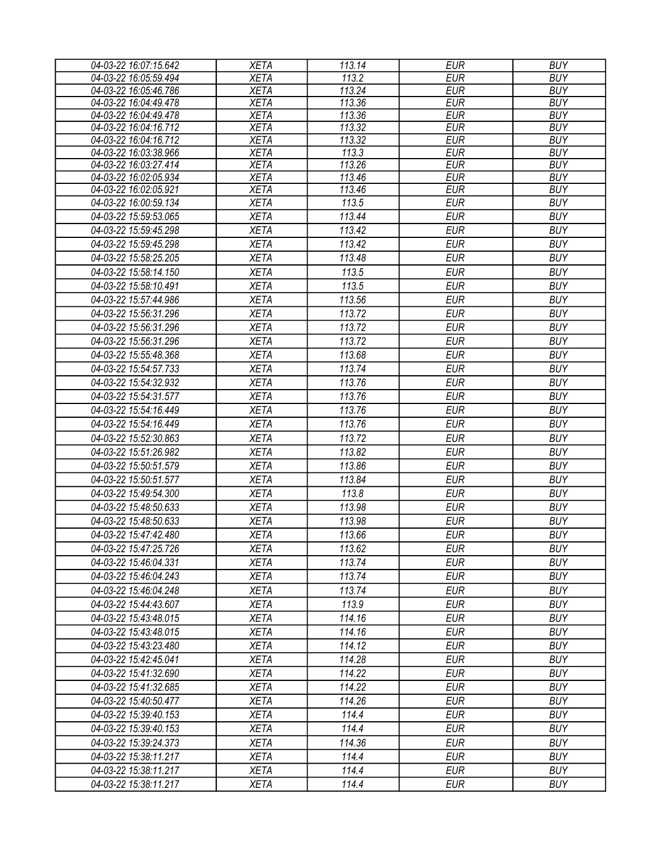| 04-03-22 16:07:15.642 | <b>XETA</b> | 113.14              | <b>EUR</b> | <b>BUY</b> |
|-----------------------|-------------|---------------------|------------|------------|
| 04-03-22 16:05:59.494 | <b>XETA</b> | 113.2               | <b>EUR</b> | <b>BUY</b> |
| 04-03-22 16:05:46.786 | <b>XETA</b> | $\overline{113.24}$ | <b>EUR</b> | <b>BUY</b> |
| 04-03-22 16:04:49.478 | <b>XETA</b> | 113.36              | <b>EUR</b> | <b>BUY</b> |
| 04-03-22 16:04:49.478 | <b>XETA</b> | 113.36              | <b>EUR</b> | <b>BUY</b> |
| 04-03-22 16:04:16.712 | <b>XETA</b> | 113.32              | <b>EUR</b> | <b>BUY</b> |
| 04-03-22 16:04:16.712 | <b>XETA</b> | 113.32              | <b>EUR</b> | <b>BUY</b> |
| 04-03-22 16:03:38.966 | <b>XETA</b> | 113.3               | <b>EUR</b> | <b>BUY</b> |
| 04-03-22 16:03:27.414 | <b>XETA</b> | 113.26              | <b>EUR</b> | <b>BUY</b> |
| 04-03-22 16:02:05.934 | <b>XETA</b> | 113.46              | <b>EUR</b> | <b>BUY</b> |
| 04-03-22 16:02:05.921 | <b>XETA</b> | 113.46              | <b>EUR</b> | <b>BUY</b> |
| 04-03-22 16:00:59.134 | <b>XETA</b> | 113.5               | <b>EUR</b> | <b>BUY</b> |
| 04-03-22 15:59:53.065 | <b>XETA</b> | 113.44              | <b>EUR</b> | <b>BUY</b> |
| 04-03-22 15:59:45.298 | <b>XETA</b> | 113.42              | <b>EUR</b> | <b>BUY</b> |
| 04-03-22 15:59:45.298 | <b>XETA</b> | 113.42              | <b>EUR</b> | <b>BUY</b> |
| 04-03-22 15:58:25.205 | <b>XETA</b> | 113.48              | <b>EUR</b> | <b>BUY</b> |
| 04-03-22 15:58:14.150 | <b>XETA</b> | 113.5               | <b>EUR</b> | <b>BUY</b> |
| 04-03-22 15:58:10.491 | <b>XETA</b> | 113.5               | <b>EUR</b> | <b>BUY</b> |
| 04-03-22 15:57:44.986 | <b>XETA</b> | 113.56              | <b>EUR</b> | <b>BUY</b> |
| 04-03-22 15:56:31.296 | <b>XETA</b> | 113.72              | <b>EUR</b> | <b>BUY</b> |
| 04-03-22 15:56:31.296 | <b>XETA</b> | 113.72              | <b>EUR</b> | <b>BUY</b> |
| 04-03-22 15:56:31.296 | <b>XETA</b> | 113.72              | <b>EUR</b> | <b>BUY</b> |
| 04-03-22 15:55:48.368 | <b>XETA</b> | 113.68              | <b>EUR</b> | <b>BUY</b> |
| 04-03-22 15:54:57.733 | <b>XETA</b> | 113.74              | <b>EUR</b> | <b>BUY</b> |
| 04-03-22 15:54:32.932 | <b>XETA</b> | 113.76              | <b>EUR</b> | <b>BUY</b> |
| 04-03-22 15:54:31.577 | <b>XETA</b> | 113.76              | <b>EUR</b> | <b>BUY</b> |
| 04-03-22 15:54:16.449 | <b>XETA</b> | 113.76              | <b>EUR</b> | <b>BUY</b> |
| 04-03-22 15:54:16.449 | <b>XETA</b> | 113.76              | <b>EUR</b> | <b>BUY</b> |
| 04-03-22 15:52:30.863 | <b>XETA</b> | 113.72              | <b>EUR</b> | <b>BUY</b> |
| 04-03-22 15:51:26.982 |             | 113.82              | <b>EUR</b> | <b>BUY</b> |
|                       | <b>XETA</b> |                     |            |            |
| 04-03-22 15:50:51.579 | <b>XETA</b> | 113.86              | <b>EUR</b> | <b>BUY</b> |
| 04-03-22 15:50:51.577 | <b>XETA</b> | 113.84              | <b>EUR</b> | <b>BUY</b> |
| 04-03-22 15:49:54.300 | <b>XETA</b> | 113.8               | <b>EUR</b> | <b>BUY</b> |
| 04-03-22 15:48:50.633 | <b>XETA</b> | 113.98              | <b>EUR</b> | <b>BUY</b> |
| 04-03-22 15:48:50.633 | <b>XETA</b> | 113.98              | <b>EUR</b> | <b>BUY</b> |
| 04-03-22 15:47:42.480 | <b>XETA</b> | 113.66              | <b>EUR</b> | <b>BUY</b> |
| 04-03-22 15:47:25.726 | <b>XETA</b> | 113.62              | <b>EUR</b> | <b>BUY</b> |
| 04-03-22 15:46:04.331 | <b>XETA</b> | 113.74              | EUR        | <b>BUY</b> |
| 04-03-22 15:46:04.243 | <b>XETA</b> | 113.74              | EUR        | <b>BUY</b> |
| 04-03-22 15:46:04.248 | <b>XETA</b> | 113.74              | <b>EUR</b> | <b>BUY</b> |
| 04-03-22 15:44:43.607 | <b>XETA</b> | 113.9               | <b>EUR</b> | <b>BUY</b> |
| 04-03-22 15:43:48.015 | <b>XETA</b> | 114.16              | <b>EUR</b> | <b>BUY</b> |
| 04-03-22 15:43:48.015 | <b>XETA</b> | 114.16              | <b>EUR</b> | <b>BUY</b> |
| 04-03-22 15:43:23.480 | <b>XETA</b> | 114.12              | <b>EUR</b> | <b>BUY</b> |
| 04-03-22 15:42:45.041 | <b>XETA</b> | 114.28              | <b>EUR</b> | <b>BUY</b> |
| 04-03-22 15:41:32.690 | <b>XETA</b> | 114.22              | <b>EUR</b> | <b>BUY</b> |
| 04-03-22 15:41:32.685 | <b>XETA</b> | 114.22              | EUR        | <b>BUY</b> |
| 04-03-22 15:40:50.477 | <b>XETA</b> | 114.26              | <b>EUR</b> | <b>BUY</b> |
| 04-03-22 15:39:40.153 | <b>XETA</b> | 114.4               | <b>EUR</b> | <b>BUY</b> |
| 04-03-22 15:39:40.153 | <b>XETA</b> | 114.4               | <b>EUR</b> | <b>BUY</b> |
| 04-03-22 15:39:24.373 | <b>XETA</b> | 114.36              | <b>EUR</b> | <b>BUY</b> |
|                       |             | 114.4               | <b>EUR</b> | <b>BUY</b> |
| 04-03-22 15:38:11.217 | <b>XETA</b> |                     |            |            |
| 04-03-22 15:38:11.217 | <b>XETA</b> | 114.4               | <b>EUR</b> | <b>BUY</b> |
| 04-03-22 15:38:11.217 | XETA        | 114.4               | <b>EUR</b> | <b>BUY</b> |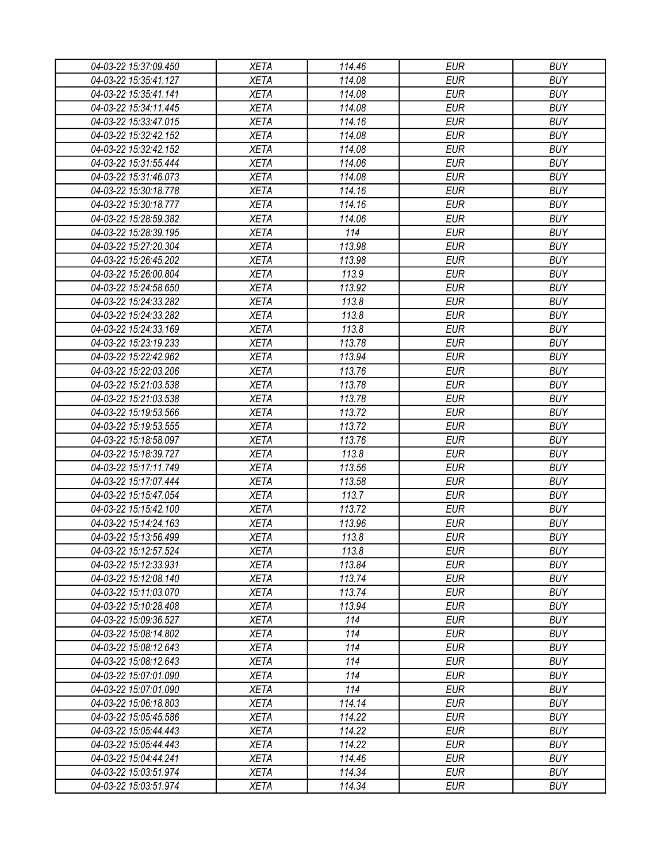| 04-03-22 15:37:09.450 | <b>XETA</b> | 114.46 | <b>EUR</b> | <b>BUY</b> |
|-----------------------|-------------|--------|------------|------------|
| 04-03-22 15:35:41.127 | <b>XETA</b> | 114.08 | <b>EUR</b> | <b>BUY</b> |
| 04-03-22 15:35:41.141 | <b>XETA</b> | 114.08 | <b>EUR</b> | <b>BUY</b> |
| 04-03-22 15:34:11.445 | <b>XETA</b> | 114.08 | <b>EUR</b> | <b>BUY</b> |
| 04-03-22 15:33:47.015 | <b>XETA</b> | 114.16 | <b>EUR</b> | <b>BUY</b> |
| 04-03-22 15:32:42.152 | <b>XETA</b> | 114.08 | <b>EUR</b> | <b>BUY</b> |
| 04-03-22 15:32:42.152 | <b>XETA</b> | 114.08 | <b>EUR</b> | <b>BUY</b> |
| 04-03-22 15:31:55.444 | <b>XETA</b> | 114.06 | <b>EUR</b> | <b>BUY</b> |
| 04-03-22 15:31:46.073 | <b>XETA</b> | 114.08 | <b>EUR</b> | <b>BUY</b> |
| 04-03-22 15:30:18.778 | <b>XETA</b> | 114.16 | <b>EUR</b> | <b>BUY</b> |
| 04-03-22 15:30:18.777 | <b>XETA</b> | 114.16 | <b>EUR</b> | <b>BUY</b> |
| 04-03-22 15:28:59.382 | <b>XETA</b> | 114.06 | <b>EUR</b> | <b>BUY</b> |
| 04-03-22 15:28:39.195 | <b>XETA</b> | 114    | <b>EUR</b> | <b>BUY</b> |
| 04-03-22 15:27:20.304 | <b>XETA</b> | 113.98 | <b>EUR</b> | <b>BUY</b> |
| 04-03-22 15:26:45.202 | <b>XETA</b> | 113.98 | <b>EUR</b> | <b>BUY</b> |
| 04-03-22 15:26:00.804 | <b>XETA</b> | 113.9  | <b>EUR</b> | <b>BUY</b> |
| 04-03-22 15:24:58.650 | <b>XETA</b> | 113.92 | <b>EUR</b> | <b>BUY</b> |
| 04-03-22 15:24:33.282 | <b>XETA</b> | 113.8  | <b>EUR</b> | <b>BUY</b> |
| 04-03-22 15:24:33.282 | <b>XETA</b> | 113.8  | <b>EUR</b> | <b>BUY</b> |
| 04-03-22 15:24:33.169 | <b>XETA</b> | 113.8  | <b>EUR</b> | <b>BUY</b> |
| 04-03-22 15:23:19.233 | <b>XETA</b> | 113.78 | <b>EUR</b> | <b>BUY</b> |
| 04-03-22 15:22:42.962 | <b>XETA</b> | 113.94 | <b>EUR</b> | <b>BUY</b> |
| 04-03-22 15:22:03.206 | <b>XETA</b> | 113.76 | <b>EUR</b> | <b>BUY</b> |
| 04-03-22 15:21:03.538 | <b>XETA</b> | 113.78 | <b>EUR</b> | <b>BUY</b> |
| 04-03-22 15:21:03.538 | <b>XETA</b> | 113.78 | <b>EUR</b> | <b>BUY</b> |
| 04-03-22 15:19:53.566 | <b>XETA</b> | 113.72 | <b>EUR</b> | <b>BUY</b> |
| 04-03-22 15:19:53.555 | <b>XETA</b> | 113.72 | <b>EUR</b> | <b>BUY</b> |
| 04-03-22 15:18:58.097 | <b>XETA</b> | 113.76 | <b>EUR</b> | <b>BUY</b> |
| 04-03-22 15:18:39.727 | <b>XETA</b> | 113.8  | <b>EUR</b> | <b>BUY</b> |
| 04-03-22 15:17:11.749 | <b>XETA</b> | 113.56 | <b>EUR</b> | <b>BUY</b> |
| 04-03-22 15:17:07.444 | <b>XETA</b> | 113.58 | <b>EUR</b> | <b>BUY</b> |
| 04-03-22 15:15:47.054 | <b>XETA</b> | 113.7  | <b>EUR</b> | <b>BUY</b> |
| 04-03-22 15:15:42.100 | <b>XETA</b> | 113.72 | <b>EUR</b> | <b>BUY</b> |
| 04-03-22 15:14:24.163 | <b>XETA</b> | 113.96 | <b>EUR</b> | <b>BUY</b> |
| 04-03-22 15:13:56.499 | <b>XETA</b> | 113.8  | <b>EUR</b> | <b>BUY</b> |
| 04-03-22 15:12:57.524 | <b>XETA</b> | 113.8  | <b>EUR</b> | <b>BUY</b> |
| 04-03-22 15:12:33.931 | <b>XETA</b> | 113.84 | <b>EUR</b> | <b>BUY</b> |
| 04-03-22 15:12:08.140 | <b>XETA</b> | 113.74 | <b>EUR</b> | <b>BUY</b> |
| 04-03-22 15:11:03.070 | <b>XETA</b> | 113.74 | <b>EUR</b> | <b>BUY</b> |
| 04-03-22 15:10:28.408 | <b>XETA</b> | 113.94 | <b>EUR</b> | <b>BUY</b> |
| 04-03-22 15:09:36.527 | <b>XETA</b> | 114    | <b>EUR</b> | <b>BUY</b> |
| 04-03-22 15:08:14.802 | <b>XETA</b> | 114    | <b>EUR</b> | <b>BUY</b> |
| 04-03-22 15:08:12.643 | <b>XETA</b> | 114    | <b>EUR</b> | <b>BUY</b> |
| 04-03-22 15:08:12.643 | <b>XETA</b> | 114    | <b>EUR</b> | <b>BUY</b> |
| 04-03-22 15:07:01.090 | <b>XETA</b> | 114    | <b>EUR</b> | <b>BUY</b> |
| 04-03-22 15:07:01.090 | <b>XETA</b> | 114    | <b>EUR</b> | <b>BUY</b> |
| 04-03-22 15:06:18.803 | <b>XETA</b> | 114.14 | <b>EUR</b> | <b>BUY</b> |
| 04-03-22 15:05:45.586 | <b>XETA</b> | 114.22 | <b>EUR</b> | <b>BUY</b> |
| 04-03-22 15:05:44.443 | <b>XETA</b> | 114.22 | <b>EUR</b> | <b>BUY</b> |
| 04-03-22 15:05:44.443 | <b>XETA</b> | 114.22 | <b>EUR</b> | <b>BUY</b> |
| 04-03-22 15:04:44.241 | <b>XETA</b> | 114.46 | <b>EUR</b> | <b>BUY</b> |
| 04-03-22 15:03:51.974 | <b>XETA</b> | 114.34 | <b>EUR</b> | <b>BUY</b> |
| 04-03-22 15:03:51.974 | <b>XETA</b> | 114.34 | <b>EUR</b> | <b>BUY</b> |
|                       |             |        |            |            |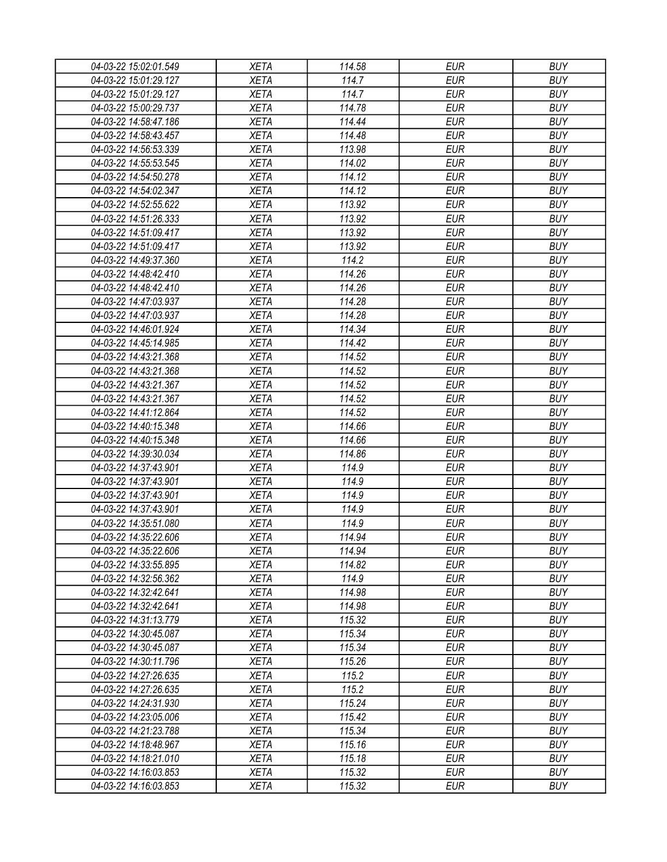| 04-03-22 15:02:01.549 | <b>XETA</b> | 114.58 | <b>EUR</b> | <b>BUY</b> |
|-----------------------|-------------|--------|------------|------------|
| 04-03-22 15:01:29.127 | <b>XETA</b> | 114.7  | <b>EUR</b> | <b>BUY</b> |
| 04-03-22 15:01:29.127 | <b>XETA</b> | 114.7  | <b>EUR</b> | <b>BUY</b> |
| 04-03-22 15:00:29.737 | <b>XETA</b> | 114.78 | <b>EUR</b> | <b>BUY</b> |
| 04-03-22 14:58:47.186 | <b>XETA</b> | 114.44 | <b>EUR</b> | <b>BUY</b> |
| 04-03-22 14:58:43.457 | <b>XETA</b> | 114.48 | <b>EUR</b> | <b>BUY</b> |
| 04-03-22 14:56:53.339 | <b>XETA</b> | 113.98 | <b>EUR</b> | <b>BUY</b> |
| 04-03-22 14:55:53.545 | <b>XETA</b> | 114.02 | <b>EUR</b> | <b>BUY</b> |
| 04-03-22 14:54:50.278 | <b>XETA</b> | 114.12 | <b>EUR</b> | <b>BUY</b> |
| 04-03-22 14:54:02.347 | <b>XETA</b> | 114.12 | <b>EUR</b> | <b>BUY</b> |
| 04-03-22 14:52:55.622 | <b>XETA</b> | 113.92 | <b>EUR</b> | <b>BUY</b> |
| 04-03-22 14:51:26.333 | <b>XETA</b> | 113.92 | <b>EUR</b> | <b>BUY</b> |
| 04-03-22 14:51:09.417 | <b>XETA</b> | 113.92 | <b>EUR</b> | <b>BUY</b> |
| 04-03-22 14:51:09.417 | <b>XETA</b> | 113.92 | <b>EUR</b> | <b>BUY</b> |
| 04-03-22 14:49:37.360 | <b>XETA</b> | 114.2  | <b>EUR</b> | <b>BUY</b> |
| 04-03-22 14:48:42.410 | <b>XETA</b> | 114.26 | <b>EUR</b> | <b>BUY</b> |
| 04-03-22 14:48:42.410 | <b>XETA</b> | 114.26 | <b>EUR</b> | <b>BUY</b> |
| 04-03-22 14:47:03.937 | <b>XETA</b> | 114.28 | <b>EUR</b> | <b>BUY</b> |
| 04-03-22 14:47:03.937 | <b>XETA</b> | 114.28 | <b>EUR</b> | <b>BUY</b> |
| 04-03-22 14:46:01.924 | <b>XETA</b> | 114.34 | <b>EUR</b> | <b>BUY</b> |
| 04-03-22 14:45:14.985 | <b>XETA</b> | 114.42 | <b>EUR</b> | <b>BUY</b> |
| 04-03-22 14:43:21.368 | <b>XETA</b> | 114.52 | <b>EUR</b> | <b>BUY</b> |
| 04-03-22 14:43:21.368 | <b>XETA</b> | 114.52 | <b>EUR</b> | <b>BUY</b> |
| 04-03-22 14:43:21.367 | <b>XETA</b> | 114.52 | <b>EUR</b> | <b>BUY</b> |
| 04-03-22 14:43:21.367 | <b>XETA</b> | 114.52 | <b>EUR</b> | <b>BUY</b> |
| 04-03-22 14:41:12.864 | <b>XETA</b> | 114.52 | <b>EUR</b> | <b>BUY</b> |
| 04-03-22 14:40:15.348 | <b>XETA</b> | 114.66 | <b>EUR</b> | <b>BUY</b> |
| 04-03-22 14:40:15.348 | <b>XETA</b> | 114.66 | <b>EUR</b> | <b>BUY</b> |
| 04-03-22 14:39:30.034 | <b>XETA</b> | 114.86 | <b>EUR</b> | <b>BUY</b> |
| 04-03-22 14:37:43.901 | <b>XETA</b> | 114.9  | <b>EUR</b> | <b>BUY</b> |
| 04-03-22 14:37:43.901 | <b>XETA</b> | 114.9  | <b>EUR</b> | <b>BUY</b> |
| 04-03-22 14:37:43.901 | <b>XETA</b> | 114.9  | <b>EUR</b> | <b>BUY</b> |
| 04-03-22 14:37:43.901 | <b>XETA</b> | 114.9  | <b>EUR</b> | <b>BUY</b> |
| 04-03-22 14:35:51.080 | <b>XETA</b> | 114.9  | <b>EUR</b> | <b>BUY</b> |
| 04-03-22 14:35:22.606 | <b>XETA</b> | 114.94 | <b>EUR</b> | <b>BUY</b> |
| 04-03-22 14:35:22.606 | <b>XETA</b> | 114.94 | <b>EUR</b> | <b>BUY</b> |
| 04-03-22 14:33:55.895 | <b>XETA</b> | 114.82 | <b>EUR</b> | <b>BUY</b> |
| 04-03-22 14:32:56.362 | <b>XETA</b> | 114.9  | <b>EUR</b> | <b>BUY</b> |
| 04-03-22 14:32:42.641 | <b>XETA</b> | 114.98 | <b>EUR</b> | <b>BUY</b> |
| 04-03-22 14:32:42.641 | <b>XETA</b> | 114.98 | <b>EUR</b> | <b>BUY</b> |
| 04-03-22 14:31:13.779 | <b>XETA</b> | 115.32 | <b>EUR</b> | <b>BUY</b> |
| 04-03-22 14:30:45.087 | <b>XETA</b> | 115.34 | <b>EUR</b> | <b>BUY</b> |
| 04-03-22 14:30:45.087 | <b>XETA</b> | 115.34 | <b>EUR</b> | <b>BUY</b> |
| 04-03-22 14:30:11.796 | <b>XETA</b> | 115.26 | <b>EUR</b> | <b>BUY</b> |
| 04-03-22 14:27:26.635 | <b>XETA</b> | 115.2  | <b>EUR</b> | <b>BUY</b> |
| 04-03-22 14:27:26.635 | <b>XETA</b> | 115.2  | <b>EUR</b> | <b>BUY</b> |
| 04-03-22 14:24:31.930 | <b>XETA</b> | 115.24 | <b>EUR</b> | <b>BUY</b> |
| 04-03-22 14:23:05.006 | <b>XETA</b> | 115.42 | <b>EUR</b> | <b>BUY</b> |
| 04-03-22 14:21:23.788 | <b>XETA</b> | 115.34 | <b>EUR</b> | <b>BUY</b> |
| 04-03-22 14:18:48.967 | <b>XETA</b> | 115.16 | <b>EUR</b> | <b>BUY</b> |
| 04-03-22 14:18:21.010 | <b>XETA</b> | 115.18 | <b>EUR</b> | <b>BUY</b> |
| 04-03-22 14:16:03.853 | <b>XETA</b> | 115.32 | <b>EUR</b> | <b>BUY</b> |
| 04-03-22 14:16:03.853 | <b>XETA</b> | 115.32 | <b>EUR</b> | <b>BUY</b> |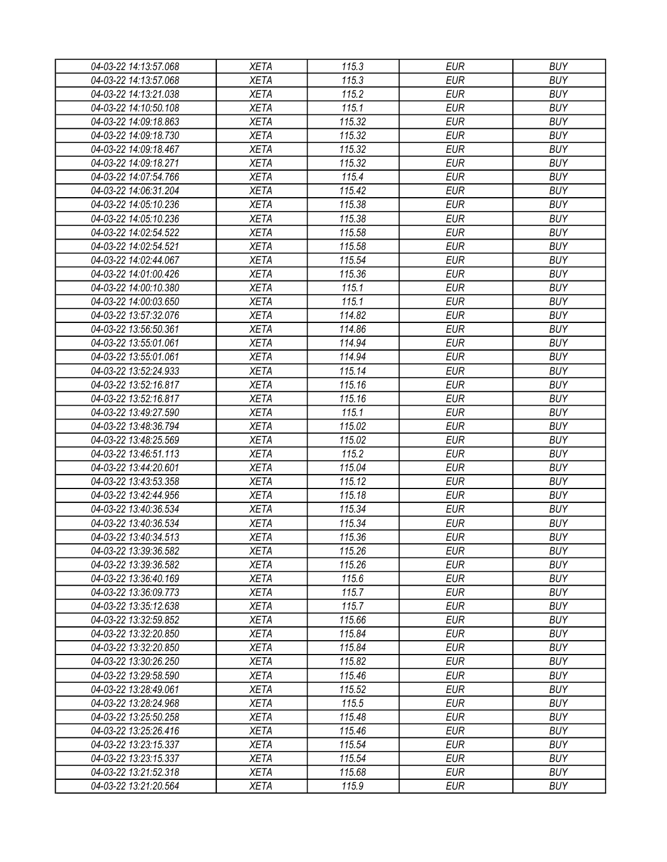| 04-03-22 14:13:57.068 | <b>XETA</b> | 115.3  | <b>EUR</b> | <b>BUY</b> |
|-----------------------|-------------|--------|------------|------------|
| 04-03-22 14:13:57.068 | <b>XETA</b> | 115.3  | <b>EUR</b> | <b>BUY</b> |
| 04-03-22 14:13:21.038 | <b>XETA</b> | 115.2  | <b>EUR</b> | <b>BUY</b> |
| 04-03-22 14:10:50.108 | <b>XETA</b> | 115.1  | <b>EUR</b> | <b>BUY</b> |
| 04-03-22 14:09:18.863 | <b>XETA</b> | 115.32 | <b>EUR</b> | <b>BUY</b> |
| 04-03-22 14:09:18.730 | <b>XETA</b> | 115.32 | <b>EUR</b> | <b>BUY</b> |
| 04-03-22 14:09:18.467 | <b>XETA</b> | 115.32 | <b>EUR</b> | <b>BUY</b> |
| 04-03-22 14:09:18.271 | <b>XETA</b> | 115.32 | <b>EUR</b> | <b>BUY</b> |
| 04-03-22 14:07:54.766 | <b>XETA</b> | 115.4  | <b>EUR</b> | <b>BUY</b> |
| 04-03-22 14:06:31.204 | <b>XETA</b> | 115.42 | <b>EUR</b> | <b>BUY</b> |
| 04-03-22 14:05:10.236 | <b>XETA</b> | 115.38 | <b>EUR</b> | <b>BUY</b> |
| 04-03-22 14:05:10.236 | <b>XETA</b> | 115.38 | <b>EUR</b> | <b>BUY</b> |
| 04-03-22 14:02:54.522 | <b>XETA</b> | 115.58 | <b>EUR</b> | <b>BUY</b> |
| 04-03-22 14:02:54.521 | <b>XETA</b> | 115.58 | <b>EUR</b> | <b>BUY</b> |
| 04-03-22 14:02:44.067 | <b>XETA</b> | 115.54 | <b>EUR</b> | <b>BUY</b> |
| 04-03-22 14:01:00.426 | <b>XETA</b> | 115.36 | <b>EUR</b> | <b>BUY</b> |
| 04-03-22 14:00:10.380 | <b>XETA</b> | 115.1  | <b>EUR</b> | <b>BUY</b> |
| 04-03-22 14:00:03.650 | <b>XETA</b> | 115.1  | <b>EUR</b> | <b>BUY</b> |
| 04-03-22 13:57:32.076 | <b>XETA</b> | 114.82 | <b>EUR</b> | <b>BUY</b> |
| 04-03-22 13:56:50.361 | <b>XETA</b> | 114.86 | <b>EUR</b> | <b>BUY</b> |
| 04-03-22 13:55:01.061 | <b>XETA</b> | 114.94 | <b>EUR</b> | <b>BUY</b> |
| 04-03-22 13:55:01.061 | <b>XETA</b> | 114.94 | <b>EUR</b> | <b>BUY</b> |
| 04-03-22 13:52:24.933 | <b>XETA</b> | 115.14 | <b>EUR</b> | <b>BUY</b> |
| 04-03-22 13:52:16.817 | <b>XETA</b> | 115.16 | <b>EUR</b> | <b>BUY</b> |
| 04-03-22 13:52:16.817 | <b>XETA</b> | 115.16 | <b>EUR</b> | <b>BUY</b> |
| 04-03-22 13:49:27.590 | <b>XETA</b> | 115.1  | <b>EUR</b> | <b>BUY</b> |
| 04-03-22 13:48:36.794 | <b>XETA</b> | 115.02 | <b>EUR</b> | <b>BUY</b> |
| 04-03-22 13:48:25.569 | <b>XETA</b> | 115.02 | <b>EUR</b> | <b>BUY</b> |
| 04-03-22 13:46:51.113 | <b>XETA</b> | 115.2  | <b>EUR</b> | <b>BUY</b> |
| 04-03-22 13:44:20.601 | <b>XETA</b> | 115.04 | <b>EUR</b> | <b>BUY</b> |
| 04-03-22 13:43:53.358 | <b>XETA</b> | 115.12 | <b>EUR</b> | <b>BUY</b> |
| 04-03-22 13:42:44.956 | <b>XETA</b> | 115.18 | <b>EUR</b> | <b>BUY</b> |
| 04-03-22 13:40:36.534 | <b>XETA</b> | 115.34 | <b>EUR</b> | <b>BUY</b> |
| 04-03-22 13:40:36.534 | <b>XETA</b> | 115.34 | <b>EUR</b> | <b>BUY</b> |
| 04-03-22 13:40:34.513 |             |        | <b>EUR</b> | <b>BUY</b> |
|                       | <b>XETA</b> | 115.36 |            |            |
| 04-03-22 13:39:36.582 | <b>XETA</b> | 115.26 | <b>EUR</b> | <b>BUY</b> |
| 04-03-22 13:39:36.582 | <b>XETA</b> | 115.26 | <b>EUR</b> | <b>BUY</b> |
| 04-03-22 13:36:40.169 | <b>XETA</b> | 115.6  | <b>EUR</b> | <b>BUY</b> |
| 04-03-22 13:36:09.773 | <b>XETA</b> | 115.7  | <b>EUR</b> | <b>BUY</b> |
| 04-03-22 13:35:12.638 | <b>XETA</b> | 115.7  | <b>EUR</b> | <b>BUY</b> |
| 04-03-22 13:32:59.852 | <b>XETA</b> | 115.66 | <b>EUR</b> | <b>BUY</b> |
| 04-03-22 13:32:20.850 | <b>XETA</b> | 115.84 | <b>EUR</b> | <b>BUY</b> |
| 04-03-22 13:32:20.850 | <b>XETA</b> | 115.84 | <b>EUR</b> | <b>BUY</b> |
| 04-03-22 13:30:26.250 | <b>XETA</b> | 115.82 | <b>EUR</b> | <b>BUY</b> |
| 04-03-22 13:29:58.590 | <b>XETA</b> | 115.46 | <b>EUR</b> | <b>BUY</b> |
| 04-03-22 13:28:49.061 | <b>XETA</b> | 115.52 | <b>EUR</b> | <b>BUY</b> |
| 04-03-22 13:28:24.968 | <b>XETA</b> | 115.5  | <b>EUR</b> | <b>BUY</b> |
| 04-03-22 13:25:50.258 | <b>XETA</b> | 115.48 | <b>EUR</b> | <b>BUY</b> |
| 04-03-22 13:25:26.416 | <b>XETA</b> | 115.46 | <b>EUR</b> | <b>BUY</b> |
| 04-03-22 13:23:15.337 | <b>XETA</b> | 115.54 | <b>EUR</b> | <b>BUY</b> |
| 04-03-22 13:23:15.337 | <b>XETA</b> | 115.54 | <b>EUR</b> | <b>BUY</b> |
| 04-03-22 13:21:52.318 | <b>XETA</b> | 115.68 | <b>EUR</b> | <b>BUY</b> |
| 04-03-22 13:21:20.564 | <b>XETA</b> | 115.9  | <b>EUR</b> | <b>BUY</b> |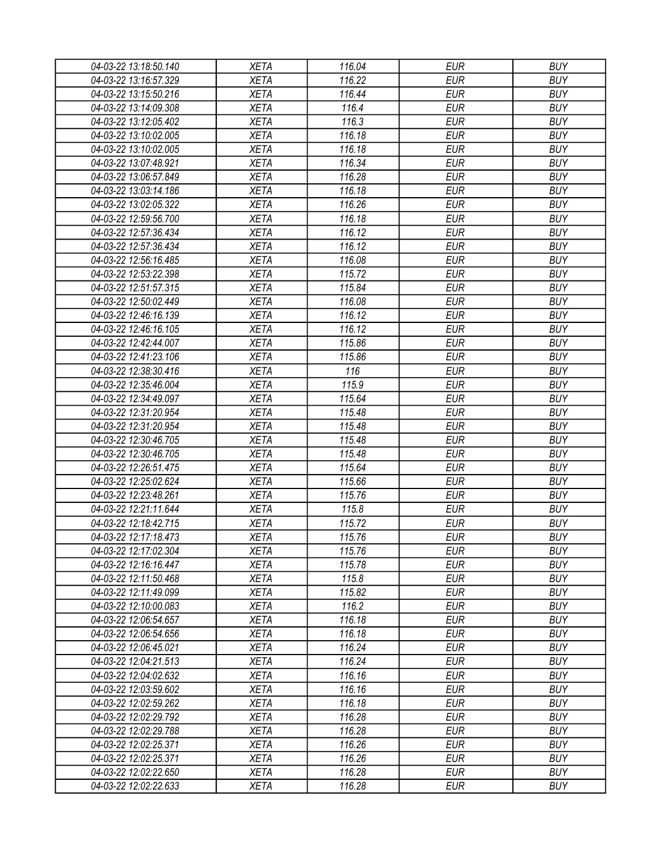| 04-03-22 13:18:50.140 | XETA        | 116.04          | EUR                      | <b>BUY</b>               |
|-----------------------|-------------|-----------------|--------------------------|--------------------------|
| 04-03-22 13:16:57.329 | <b>XETA</b> | 116.22          | <b>EUR</b>               | <b>BUY</b>               |
| 04-03-22 13:15:50.216 | <b>XETA</b> | 116.44          | <b>EUR</b>               | <b>BUY</b>               |
| 04-03-22 13:14:09.308 | <b>XETA</b> | 116.4           | <b>EUR</b>               | <b>BUY</b>               |
| 04-03-22 13:12:05.402 | <b>XETA</b> | 116.3           | <b>EUR</b>               | <b>BUY</b>               |
| 04-03-22 13:10:02.005 | <b>XETA</b> | 116.18          | <b>EUR</b>               | <b>BUY</b>               |
| 04-03-22 13:10:02.005 | <b>XETA</b> | 116.18          | <b>EUR</b>               | <b>BUY</b>               |
| 04-03-22 13:07:48.921 | <b>XETA</b> | 116.34          | <b>EUR</b>               | <b>BUY</b>               |
| 04-03-22 13:06:57.849 | <b>XETA</b> | 116.28          | <b>EUR</b>               | <b>BUY</b>               |
| 04-03-22 13:03:14.186 | <b>XETA</b> | 116.18          | <b>EUR</b>               | <b>BUY</b>               |
| 04-03-22 13:02:05.322 | <b>XETA</b> | 116.26          | <b>EUR</b>               | <b>BUY</b>               |
| 04-03-22 12:59:56.700 | <b>XETA</b> | 116.18          | <b>EUR</b>               | <b>BUY</b>               |
| 04-03-22 12:57:36.434 | <b>XETA</b> | 116.12          | <b>EUR</b>               | <b>BUY</b>               |
| 04-03-22 12:57:36.434 | <b>XETA</b> | 116.12          | <b>EUR</b>               | <b>BUY</b>               |
| 04-03-22 12:56:16.485 | <b>XETA</b> | 116.08          | <b>EUR</b>               | <b>BUY</b>               |
| 04-03-22 12:53:22.398 | <b>XETA</b> | 115.72          | <b>EUR</b>               | <b>BUY</b>               |
| 04-03-22 12:51:57.315 | <b>XETA</b> | 115.84          | <b>EUR</b>               | <b>BUY</b>               |
| 04-03-22 12:50:02.449 | <b>XETA</b> | 116.08          | <b>EUR</b>               | <b>BUY</b>               |
| 04-03-22 12:46:16.139 | <b>XETA</b> | 116.12          | <b>EUR</b>               | <b>BUY</b>               |
| 04-03-22 12:46:16.105 | <b>XETA</b> | 116.12          | <b>EUR</b>               | <b>BUY</b>               |
| 04-03-22 12:42:44.007 | <b>XETA</b> | 115.86          | <b>EUR</b>               | <b>BUY</b>               |
| 04-03-22 12:41:23.106 | <b>XETA</b> | 115.86          | <b>EUR</b>               | <b>BUY</b>               |
| 04-03-22 12:38:30.416 | <b>XETA</b> | 116             | <b>EUR</b>               | <b>BUY</b>               |
| 04-03-22 12:35:46.004 | <b>XETA</b> | 115.9           | <b>EUR</b>               | <b>BUY</b>               |
| 04-03-22 12:34:49.097 | <b>XETA</b> | 115.64          | <b>EUR</b>               | <b>BUY</b>               |
| 04-03-22 12:31:20.954 | <b>XETA</b> | 115.48          | <b>EUR</b>               | <b>BUY</b>               |
| 04-03-22 12:31:20.954 | <b>XETA</b> | 115.48          | <b>EUR</b>               | <b>BUY</b>               |
| 04-03-22 12:30:46.705 | <b>XETA</b> | 115.48          | <b>EUR</b>               | <b>BUY</b>               |
| 04-03-22 12:30:46.705 | <b>XETA</b> | 115.48          | <b>EUR</b>               | <b>BUY</b>               |
| 04-03-22 12:26:51.475 | <b>XETA</b> | 115.64          | <b>EUR</b>               | <b>BUY</b>               |
| 04-03-22 12:25:02.624 | <b>XETA</b> | 115.66          | <b>EUR</b>               | <b>BUY</b>               |
| 04-03-22 12:23:48.261 | <b>XETA</b> | 115.76          | <b>EUR</b>               | <b>BUY</b>               |
| 04-03-22 12:21:11.644 | <b>XETA</b> | 115.8           | <b>EUR</b>               | <b>BUY</b>               |
| 04-03-22 12:18:42.715 | <b>XETA</b> | 115.72          | <b>EUR</b>               | <b>BUY</b>               |
| 04-03-22 12:17:18.473 | <b>XETA</b> | 115.76          | <b>EUR</b>               | <b>BUY</b>               |
| 04-03-22 12:17:02.304 | <b>XETA</b> | 115.76          | <b>EUR</b>               | <b>BUY</b>               |
| 04-03-22 12:16:16.447 | <b>XETA</b> | 115.78          | <b>EUR</b>               | <b>BUY</b>               |
| 04-03-22 12:11:50.468 | <b>XETA</b> | 115.8           | <b>EUR</b>               | <b>BUY</b>               |
|                       |             |                 |                          |                          |
| 04-03-22 12:11:49.099 | <b>XETA</b> | 115.82<br>116.2 | <b>EUR</b><br><b>EUR</b> | <b>BUY</b><br><b>BUY</b> |
| 04-03-22 12:10:00.083 | <b>XETA</b> |                 | <b>EUR</b>               | <b>BUY</b>               |
| 04-03-22 12:06:54.657 | <b>XETA</b> | 116.18          |                          |                          |
| 04-03-22 12:06:54.656 | <b>XETA</b> | 116.18          | <b>EUR</b>               | <b>BUY</b>               |
| 04-03-22 12:06:45.021 | <b>XETA</b> | 116.24          | <b>EUR</b>               | <b>BUY</b>               |
| 04-03-22 12:04:21.513 | <b>XETA</b> | 116.24          | <b>EUR</b>               | <b>BUY</b>               |
| 04-03-22 12:04:02.632 | <b>XETA</b> | 116.16          | <b>EUR</b>               | <b>BUY</b>               |
| 04-03-22 12:03:59.602 | <b>XETA</b> | 116.16          | <b>EUR</b>               | <b>BUY</b>               |
| 04-03-22 12:02:59.262 | <b>XETA</b> | 116.18          | <b>EUR</b>               | <b>BUY</b>               |
| 04-03-22 12:02:29.792 | <b>XETA</b> | 116.28          | <b>EUR</b>               | <b>BUY</b>               |
| 04-03-22 12:02:29.788 | <b>XETA</b> | 116.28          | <b>EUR</b>               | <b>BUY</b>               |
| 04-03-22 12:02:25.371 | <b>XETA</b> | 116.26          | <b>EUR</b>               | <b>BUY</b>               |
| 04-03-22 12:02:25.371 | <b>XETA</b> | 116.26          | <b>EUR</b>               | <b>BUY</b>               |
| 04-03-22 12:02:22.650 | <b>XETA</b> | 116.28          | <b>EUR</b>               | <b>BUY</b>               |
| 04-03-22 12:02:22.633 | <b>XETA</b> | 116.28          | <b>EUR</b>               | <b>BUY</b>               |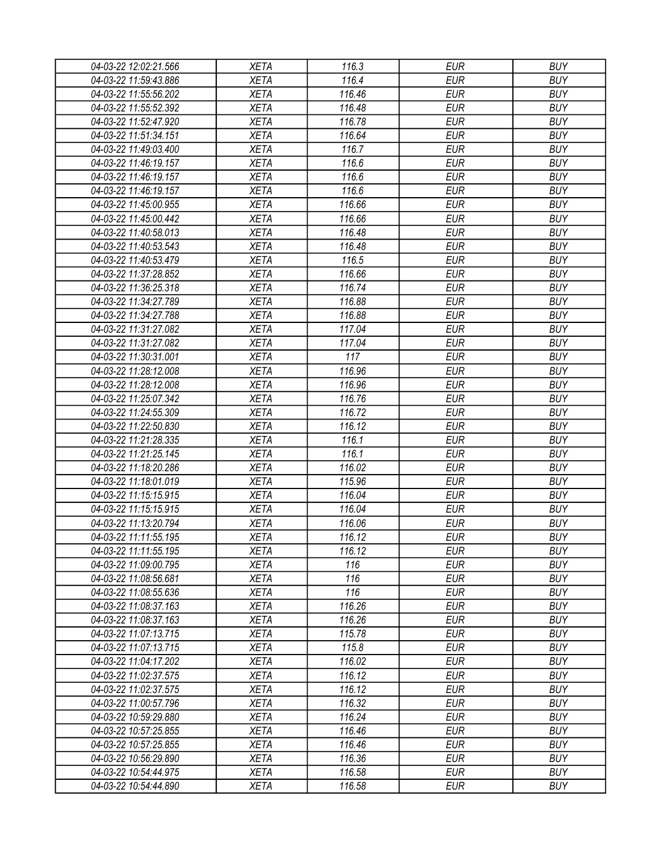| 04-03-22 12:02:21.566 | <b>XETA</b> | 116.3  | <b>EUR</b> | <b>BUY</b> |
|-----------------------|-------------|--------|------------|------------|
| 04-03-22 11:59:43.886 | <b>XETA</b> | 116.4  | <b>EUR</b> | <b>BUY</b> |
| 04-03-22 11:55:56.202 | <b>XETA</b> | 116.46 | <b>EUR</b> | <b>BUY</b> |
| 04-03-22 11:55:52.392 | <b>XETA</b> | 116.48 | <b>EUR</b> | <b>BUY</b> |
| 04-03-22 11:52:47.920 | <b>XETA</b> | 116.78 | <b>EUR</b> | <b>BUY</b> |
| 04-03-22 11:51:34.151 | <b>XETA</b> | 116.64 | <b>EUR</b> | <b>BUY</b> |
| 04-03-22 11:49:03.400 | <b>XETA</b> | 116.7  | <b>EUR</b> | <b>BUY</b> |
| 04-03-22 11:46:19.157 | <b>XETA</b> | 116.6  | <b>EUR</b> | <b>BUY</b> |
| 04-03-22 11:46:19.157 | <b>XETA</b> | 116.6  | <b>EUR</b> | <b>BUY</b> |
| 04-03-22 11:46:19.157 | <b>XETA</b> | 116.6  | <b>EUR</b> | <b>BUY</b> |
| 04-03-22 11:45:00.955 | <b>XETA</b> | 116.66 | <b>EUR</b> | <b>BUY</b> |
| 04-03-22 11:45:00.442 | <b>XETA</b> | 116.66 | <b>EUR</b> | <b>BUY</b> |
| 04-03-22 11:40:58.013 | <b>XETA</b> | 116.48 | <b>EUR</b> | <b>BUY</b> |
| 04-03-22 11:40:53.543 | <b>XETA</b> | 116.48 | <b>EUR</b> | <b>BUY</b> |
| 04-03-22 11:40:53.479 | <b>XETA</b> | 116.5  | <b>EUR</b> | <b>BUY</b> |
| 04-03-22 11:37:28.852 | <b>XETA</b> | 116.66 | <b>EUR</b> | <b>BUY</b> |
| 04-03-22 11:36:25.318 | <b>XETA</b> | 116.74 | <b>EUR</b> | <b>BUY</b> |
| 04-03-22 11:34:27.789 | <b>XETA</b> | 116.88 | <b>EUR</b> | <b>BUY</b> |
| 04-03-22 11:34:27.788 | <b>XETA</b> | 116.88 | <b>EUR</b> | <b>BUY</b> |
| 04-03-22 11:31:27.082 | <b>XETA</b> | 117.04 | <b>EUR</b> | <b>BUY</b> |
| 04-03-22 11:31:27.082 | <b>XETA</b> | 117.04 | <b>EUR</b> | <b>BUY</b> |
| 04-03-22 11:30:31.001 | <b>XETA</b> | 117    | <b>EUR</b> | <b>BUY</b> |
| 04-03-22 11:28:12.008 | <b>XETA</b> | 116.96 | <b>EUR</b> | <b>BUY</b> |
| 04-03-22 11:28:12.008 | <b>XETA</b> | 116.96 | <b>EUR</b> | <b>BUY</b> |
| 04-03-22 11:25:07.342 | <b>XETA</b> | 116.76 | <b>EUR</b> | <b>BUY</b> |
| 04-03-22 11:24:55.309 | <b>XETA</b> | 116.72 | <b>EUR</b> | <b>BUY</b> |
| 04-03-22 11:22:50.830 | <b>XETA</b> | 116.12 | <b>EUR</b> | <b>BUY</b> |
| 04-03-22 11:21:28.335 | <b>XETA</b> | 116.1  | <b>EUR</b> | <b>BUY</b> |
| 04-03-22 11:21:25.145 | <b>XETA</b> | 116.1  | <b>EUR</b> | <b>BUY</b> |
| 04-03-22 11:18:20.286 | <b>XETA</b> | 116.02 | <b>EUR</b> | <b>BUY</b> |
| 04-03-22 11:18:01.019 | <b>XETA</b> | 115.96 | <b>EUR</b> | <b>BUY</b> |
| 04-03-22 11:15:15.915 | <b>XETA</b> | 116.04 | <b>EUR</b> | <b>BUY</b> |
| 04-03-22 11:15:15.915 | <b>XETA</b> | 116.04 | <b>EUR</b> | <b>BUY</b> |
| 04-03-22 11:13:20.794 | <b>XETA</b> | 116.06 | <b>EUR</b> | <b>BUY</b> |
| 04-03-22 11:11:55.195 | <b>XETA</b> | 116.12 | <b>EUR</b> | <b>BUY</b> |
| 04-03-22 11:11:55.195 | <b>XETA</b> | 116.12 | <b>EUR</b> | <b>BUY</b> |
| 04-03-22 11:09:00.795 | <b>XETA</b> | 116    | <b>EUR</b> | <b>BUY</b> |
| 04-03-22 11:08:56.681 | <b>XETA</b> | 116    | <b>EUR</b> | <b>BUY</b> |
| 04-03-22 11:08:55.636 | <b>XETA</b> | 116    | <b>EUR</b> | <b>BUY</b> |
| 04-03-22 11:08:37.163 | <b>XETA</b> | 116.26 | <b>EUR</b> | <b>BUY</b> |
| 04-03-22 11:08:37.163 | <b>XETA</b> | 116.26 | <b>EUR</b> | <b>BUY</b> |
| 04-03-22 11:07:13.715 | <b>XETA</b> | 115.78 | <b>EUR</b> | <b>BUY</b> |
| 04-03-22 11:07:13.715 | <b>XETA</b> | 115.8  | <b>EUR</b> | <b>BUY</b> |
| 04-03-22 11:04:17.202 | <b>XETA</b> | 116.02 | <b>EUR</b> | <b>BUY</b> |
| 04-03-22 11:02:37.575 | <b>XETA</b> | 116.12 | <b>EUR</b> | <b>BUY</b> |
| 04-03-22 11:02:37.575 | <b>XETA</b> | 116.12 | <b>EUR</b> | <b>BUY</b> |
| 04-03-22 11:00:57.796 | <b>XETA</b> | 116.32 | <b>EUR</b> | <b>BUY</b> |
| 04-03-22 10:59:29.880 | <b>XETA</b> | 116.24 | <b>EUR</b> | <b>BUY</b> |
| 04-03-22 10:57:25.855 | <b>XETA</b> | 116.46 | <b>EUR</b> | <b>BUY</b> |
| 04-03-22 10:57:25.855 | <b>XETA</b> | 116.46 | <b>EUR</b> | <b>BUY</b> |
| 04-03-22 10:56:29.890 | <b>XETA</b> | 116.36 | EUR        | <b>BUY</b> |
|                       |             | 116.58 | <b>EUR</b> | <b>BUY</b> |
| 04-03-22 10:54:44.975 | <b>XETA</b> |        |            |            |
| 04-03-22 10:54:44.890 | <b>XETA</b> | 116.58 | <b>EUR</b> | <b>BUY</b> |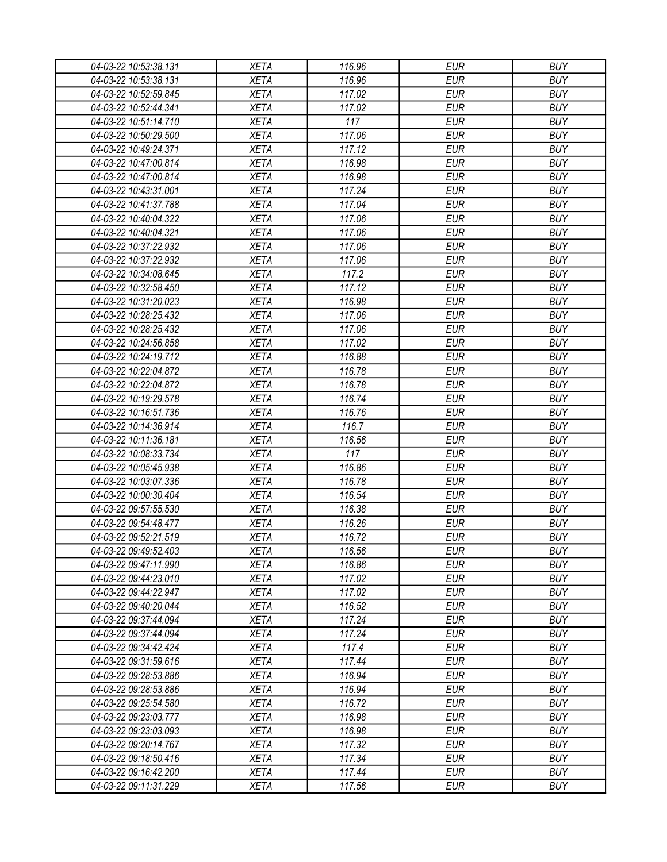| 04-03-22 10:53:38.131 | <b>XETA</b> | 116.96 | <b>EUR</b> | <b>BUY</b> |
|-----------------------|-------------|--------|------------|------------|
| 04-03-22 10:53:38.131 | <b>XETA</b> | 116.96 | <b>EUR</b> | <b>BUY</b> |
| 04-03-22 10:52:59.845 | <b>XETA</b> | 117.02 | <b>EUR</b> | <b>BUY</b> |
| 04-03-22 10:52:44.341 | <b>XETA</b> | 117.02 | <b>EUR</b> | <b>BUY</b> |
| 04-03-22 10:51:14.710 | <b>XETA</b> | 117    | <b>EUR</b> | <b>BUY</b> |
| 04-03-22 10:50:29.500 | <b>XETA</b> | 117.06 | <b>EUR</b> | <b>BUY</b> |
| 04-03-22 10:49:24.371 | <b>XETA</b> | 117.12 | <b>EUR</b> | <b>BUY</b> |
| 04-03-22 10:47:00.814 | <b>XETA</b> | 116.98 | <b>EUR</b> | <b>BUY</b> |
| 04-03-22 10:47:00.814 | <b>XETA</b> | 116.98 | <b>EUR</b> | <b>BUY</b> |
| 04-03-22 10:43:31.001 | <b>XETA</b> | 117.24 | <b>EUR</b> | <b>BUY</b> |
| 04-03-22 10:41:37.788 | <b>XETA</b> | 117.04 | <b>EUR</b> | <b>BUY</b> |
| 04-03-22 10:40:04.322 | <b>XETA</b> | 117.06 | <b>EUR</b> | <b>BUY</b> |
| 04-03-22 10:40:04.321 | <b>XETA</b> | 117.06 | <b>EUR</b> | <b>BUY</b> |
| 04-03-22 10:37:22.932 | <b>XETA</b> | 117.06 | <b>EUR</b> | <b>BUY</b> |
| 04-03-22 10:37:22.932 | <b>XETA</b> | 117.06 | <b>EUR</b> | <b>BUY</b> |
| 04-03-22 10:34:08.645 | <b>XETA</b> | 117.2  | <b>EUR</b> | <b>BUY</b> |
| 04-03-22 10:32:58.450 | <b>XETA</b> | 117.12 | <b>EUR</b> | <b>BUY</b> |
| 04-03-22 10:31:20.023 | <b>XETA</b> | 116.98 | <b>EUR</b> | <b>BUY</b> |
| 04-03-22 10:28:25.432 | <b>XETA</b> | 117.06 | <b>EUR</b> | <b>BUY</b> |
| 04-03-22 10:28:25.432 | <b>XETA</b> | 117.06 | <b>EUR</b> | <b>BUY</b> |
| 04-03-22 10:24:56.858 | <b>XETA</b> | 117.02 | <b>EUR</b> | <b>BUY</b> |
| 04-03-22 10:24:19.712 | <b>XETA</b> | 116.88 | <b>EUR</b> | <b>BUY</b> |
| 04-03-22 10:22:04.872 | <b>XETA</b> | 116.78 | <b>EUR</b> | <b>BUY</b> |
| 04-03-22 10:22:04.872 | <b>XETA</b> | 116.78 | <b>EUR</b> | <b>BUY</b> |
| 04-03-22 10:19:29.578 | <b>XETA</b> | 116.74 | <b>EUR</b> | <b>BUY</b> |
| 04-03-22 10:16:51.736 | <b>XETA</b> | 116.76 | <b>EUR</b> | <b>BUY</b> |
| 04-03-22 10:14:36.914 | <b>XETA</b> | 116.7  | <b>EUR</b> | <b>BUY</b> |
| 04-03-22 10:11:36.181 | <b>XETA</b> | 116.56 | <b>EUR</b> | <b>BUY</b> |
| 04-03-22 10:08:33.734 | <b>XETA</b> | 117    | <b>EUR</b> | <b>BUY</b> |
| 04-03-22 10:05:45.938 | <b>XETA</b> | 116.86 | <b>EUR</b> | <b>BUY</b> |
| 04-03-22 10:03:07.336 | <b>XETA</b> | 116.78 | <b>EUR</b> | <b>BUY</b> |
| 04-03-22 10:00:30.404 | <b>XETA</b> | 116.54 | <b>EUR</b> | <b>BUY</b> |
| 04-03-22 09:57:55.530 | <b>XETA</b> | 116.38 | <b>EUR</b> | <b>BUY</b> |
| 04-03-22 09:54:48.477 | <b>XETA</b> | 116.26 | <b>EUR</b> | <b>BUY</b> |
| 04-03-22 09:52:21.519 | <b>XETA</b> | 116.72 | <b>EUR</b> | <b>BUY</b> |
| 04-03-22 09:49:52.403 | <b>XETA</b> | 116.56 | <b>EUR</b> | <b>BUY</b> |
| 04-03-22 09:47:11.990 | <b>XETA</b> | 116.86 | <b>EUR</b> | <b>BUY</b> |
| 04-03-22 09:44:23.010 | <b>XETA</b> | 117.02 | <b>EUR</b> | <b>BUY</b> |
| 04-03-22 09:44:22.947 | <b>XETA</b> | 117.02 | <b>EUR</b> | <b>BUY</b> |
| 04-03-22 09:40:20.044 | <b>XETA</b> | 116.52 | <b>EUR</b> | <b>BUY</b> |
| 04-03-22 09:37:44.094 | <b>XETA</b> | 117.24 | <b>EUR</b> | <b>BUY</b> |
| 04-03-22 09:37:44.094 | <b>XETA</b> | 117.24 | <b>EUR</b> | <b>BUY</b> |
| 04-03-22 09:34:42.424 | <b>XETA</b> | 117.4  | <b>EUR</b> | <b>BUY</b> |
| 04-03-22 09:31:59.616 | <b>XETA</b> | 117.44 | <b>EUR</b> | <b>BUY</b> |
| 04-03-22 09:28:53.886 | <b>XETA</b> | 116.94 | <b>EUR</b> | <b>BUY</b> |
| 04-03-22 09:28:53.886 | <b>XETA</b> | 116.94 | <b>EUR</b> | <b>BUY</b> |
| 04-03-22 09:25:54.580 | <b>XETA</b> | 116.72 | <b>EUR</b> | <b>BUY</b> |
| 04-03-22 09:23:03.777 | <b>XETA</b> | 116.98 | <b>EUR</b> | <b>BUY</b> |
| 04-03-22 09:23:03.093 | <b>XETA</b> | 116.98 | <b>EUR</b> | <b>BUY</b> |
| 04-03-22 09:20:14.767 | <b>XETA</b> | 117.32 | <b>EUR</b> | <b>BUY</b> |
| 04-03-22 09:18:50.416 | <b>XETA</b> | 117.34 | <b>EUR</b> | <b>BUY</b> |
| 04-03-22 09:16:42.200 | <b>XETA</b> | 117.44 | <b>EUR</b> | <b>BUY</b> |
| 04-03-22 09:11:31.229 | <b>XETA</b> | 117.56 | <b>EUR</b> | <b>BUY</b> |